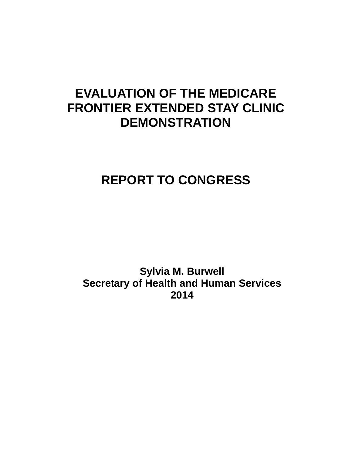# **EVALUATION OF THE MEDICARE FRONTIER EXTENDED STAY CLINIC DEMONSTRATION**

# **REPORT TO CONGRESS**

**Sylvia M. Burwell Secretary of Health and Human Services 2014**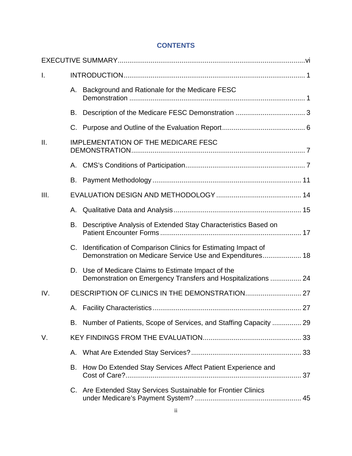## **CONTENTS**

| I.   |    |                                                                                                                               |
|------|----|-------------------------------------------------------------------------------------------------------------------------------|
|      |    | A. Background and Rationale for the Medicare FESC                                                                             |
|      |    |                                                                                                                               |
|      |    |                                                                                                                               |
| Ш.   |    | <b>IMPLEMENTATION OF THE MEDICARE FESC</b>                                                                                    |
|      |    |                                                                                                                               |
|      |    |                                                                                                                               |
| III. |    |                                                                                                                               |
|      |    |                                                                                                                               |
|      | В. | Descriptive Analysis of Extended Stay Characteristics Based on                                                                |
|      |    | C. Identification of Comparison Clinics for Estimating Impact of<br>Demonstration on Medicare Service Use and Expenditures 18 |
|      |    | D. Use of Medicare Claims to Estimate Impact of the<br>Demonstration on Emergency Transfers and Hospitalizations  24          |
| IV.  |    |                                                                                                                               |
|      |    |                                                                                                                               |
|      |    | B. Number of Patients, Scope of Services, and Staffing Capacity  29                                                           |
| V.   |    |                                                                                                                               |
|      | Α. |                                                                                                                               |
|      | В. | How Do Extended Stay Services Affect Patient Experience and                                                                   |
|      |    | C. Are Extended Stay Services Sustainable for Frontier Clinics                                                                |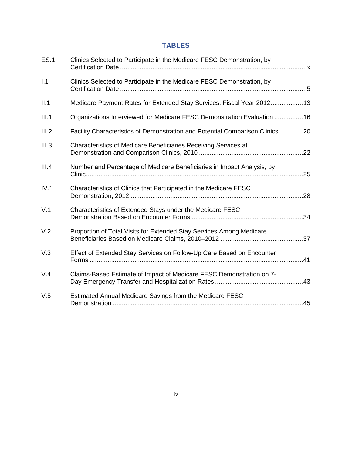# **TABLES**

| <b>ES.1</b> | Clinics Selected to Participate in the Medicare FESC Demonstration, by        |
|-------------|-------------------------------------------------------------------------------|
| 1.1         | Clinics Selected to Participate in the Medicare FESC Demonstration, by        |
| II.1        | Medicare Payment Rates for Extended Stay Services, Fiscal Year 201213         |
| III.1       | Organizations Interviewed for Medicare FESC Demonstration Evaluation 16       |
| III.2       | Facility Characteristics of Demonstration and Potential Comparison Clinics 20 |
| III.3       | Characteristics of Medicare Beneficiaries Receiving Services at               |
| III.4       | Number and Percentage of Medicare Beneficiaries in Impact Analysis, by        |
| IV.1        | Characteristics of Clinics that Participated in the Medicare FESC             |
| V.1         | Characteristics of Extended Stays under the Medicare FESC                     |
| V.2         | Proportion of Total Visits for Extended Stay Services Among Medicare          |
| V.3         | Effect of Extended Stay Services on Follow-Up Care Based on Encounter         |
| V.4         | Claims-Based Estimate of Impact of Medicare FESC Demonstration on 7-          |
| V.5         | Estimated Annual Medicare Savings from the Medicare FESC                      |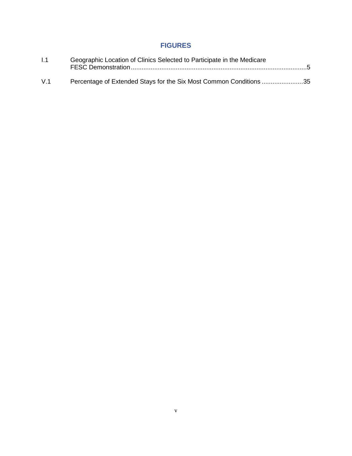# **FIGURES**

| 1.1 | Geographic Location of Clinics Selected to Participate in the Medicare |  |
|-----|------------------------------------------------------------------------|--|
| V.1 | Percentage of Extended Stays for the Six Most Common Conditions 35     |  |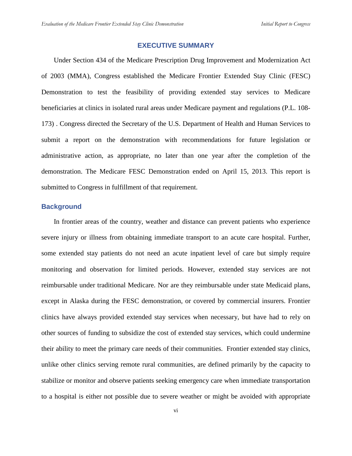## **EXECUTIVE SUMMARY**

Under Section 434 of the Medicare Prescription Drug Improvement and Modernization Act of 2003 (MMA), Congress established the Medicare Frontier Extended Stay Clinic (FESC) Demonstration to test the feasibility of providing extended stay services to Medicare beneficiaries at clinics in isolated rural areas under Medicare payment and regulations (P.L. 108- 173) . Congress directed the Secretary of the U.S. Department of Health and Human Services to submit a report on the demonstration with recommendations for future legislation or administrative action, as appropriate, no later than one year after the completion of the demonstration. The Medicare FESC Demonstration ended on April 15, 2013. This report is submitted to Congress in fulfillment of that requirement.

## **Background**

In frontier areas of the country, weather and distance can prevent patients who experience severe injury or illness from obtaining immediate transport to an acute care hospital. Further, some extended stay patients do not need an acute inpatient level of care but simply require monitoring and observation for limited periods. However, extended stay services are not reimbursable under traditional Medicare. Nor are they reimbursable under state Medicaid plans, except in Alaska during the FESC demonstration, or covered by commercial insurers. Frontier clinics have always provided extended stay services when necessary, but have had to rely on other sources of funding to subsidize the cost of extended stay services, which could undermine their ability to meet the primary care needs of their communities. Frontier extended stay clinics, unlike other clinics serving remote rural communities, are defined primarily by the capacity to stabilize or monitor and observe patients seeking emergency care when immediate transportation to a hospital is either not possible due to severe weather or might be avoided with appropriate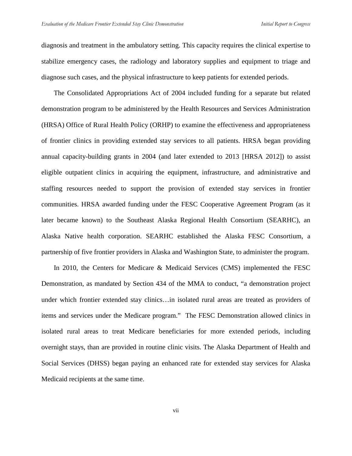diagnosis and treatment in the ambulatory setting. This capacity requires the clinical expertise to stabilize emergency cases, the radiology and laboratory supplies and equipment to triage and diagnose such cases, and the physical infrastructure to keep patients for extended periods.

The Consolidated Appropriations Act of 2004 included funding for a separate but related demonstration program to be administered by the Health Resources and Services Administration (HRSA) Office of Rural Health Policy (ORHP) to examine the effectiveness and appropriateness of frontier clinics in providing extended stay services to all patients. HRSA began providing annual capacity-building grants in 2004 (and later extended to 2013 [HRSA 2012]) to assist eligible outpatient clinics in acquiring the equipment, infrastructure, and administrative and staffing resources needed to support the provision of extended stay services in frontier communities. HRSA awarded funding under the FESC Cooperative Agreement Program (as it later became known) to the Southeast Alaska Regional Health Consortium (SEARHC), an Alaska Native health corporation. SEARHC established the Alaska FESC Consortium, a partnership of five frontier providers in Alaska and Washington State, to administer the program.

In 2010, the Centers for Medicare & Medicaid Services (CMS) implemented the FESC Demonstration, as mandated by Section 434 of the MMA to conduct, "a demonstration project under which frontier extended stay clinics…in isolated rural areas are treated as providers of items and services under the Medicare program." The FESC Demonstration allowed clinics in isolated rural areas to treat Medicare beneficiaries for more extended periods, including overnight stays, than are provided in routine clinic visits. The Alaska Department of Health and Social Services (DHSS) began paying an enhanced rate for extended stay services for Alaska Medicaid recipients at the same time.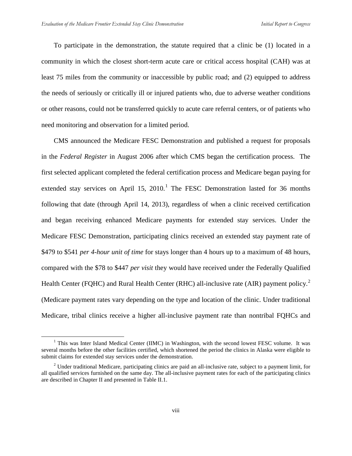To participate in the demonstration, the statute required that a clinic be (1) located in a community in which the closest short-term acute care or critical access hospital (CAH) was at least 75 miles from the community or inaccessible by public road; and (2) equipped to address the needs of seriously or critically ill or injured patients who, due to adverse weather conditions or other reasons, could not be transferred quickly to acute care referral centers, or of patients who need monitoring and observation for a limited period.

CMS announced the Medicare FESC Demonstration and published a request for proposals in the *Federal Register* in August 2006 after which CMS began the certification process. The first selected applicant completed the federal certification process and Medicare began paying for extended stay services on April [1](#page-7-0)5, 2010.<sup>1</sup> The FESC Demonstration lasted for 36 months following that date (through April 14, 2013), regardless of when a clinic received certification and began receiving enhanced Medicare payments for extended stay services. Under the Medicare FESC Demonstration, participating clinics received an extended stay payment rate of \$479 to \$541 *per 4-hour unit of time* for stays longer than 4 hours up to a maximum of 48 hours, compared with the \$78 to \$447 *per visit* they would have received under the Federally Qualified Health Center (FQHC) and Rural Health Center (RHC) all-inclusive rate (AIR) payment policy.<sup>[2](#page-7-1)</sup> (Medicare payment rates vary depending on the type and location of the clinic. Under traditional Medicare, tribal clinics receive a higher all-inclusive payment rate than nontribal FQHCs and

<span id="page-7-0"></span><sup>&</sup>lt;sup>1</sup> This was Inter Island Medical Center (IIMC) in Washington, with the second lowest FESC volume. It was several months before the other facilities certified, which shortened the period the clinics in Alaska were eligible to submit claims for extended stay services under the demonstration.

<span id="page-7-1"></span><sup>&</sup>lt;sup>2</sup> Under traditional Medicare, participating clinics are paid an all-inclusive rate, subject to a payment limit, for all qualified services furnished on the same day. The all-inclusive payment rates for each of the participating clinics are described in Chapter II and presented in Table II.1.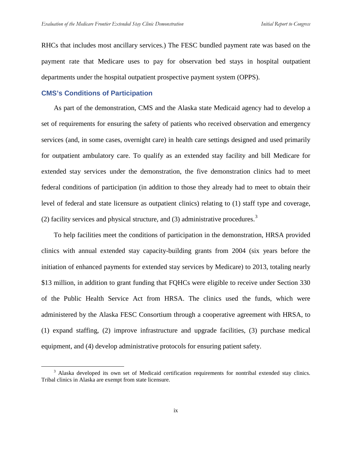RHCs that includes most ancillary services.) The FESC bundled payment rate was based on the payment rate that Medicare uses to pay for observation bed stays in hospital outpatient departments under the hospital outpatient prospective payment system (OPPS).

## **CMS's Conditions of Participation**

As part of the demonstration, CMS and the Alaska state Medicaid agency had to develop a set of requirements for ensuring the safety of patients who received observation and emergency services (and, in some cases, overnight care) in health care settings designed and used primarily for outpatient ambulatory care. To qualify as an extended stay facility and bill Medicare for extended stay services under the demonstration, the five demonstration clinics had to meet federal conditions of participation (in addition to those they already had to meet to obtain their level of federal and state licensure as outpatient clinics) relating to (1) staff type and coverage, (2) facility services and physical structure, and  $(3)$  $(3)$  $(3)$  administrative procedures.<sup>3</sup>

To help facilities meet the conditions of participation in the demonstration, HRSA provided clinics with annual extended stay capacity-building grants from 2004 (six years before the initiation of enhanced payments for extended stay services by Medicare) to 2013, totaling nearly \$13 million, in addition to grant funding that FQHCs were eligible to receive under Section 330 of the Public Health Service Act from HRSA. The clinics used the funds, which were administered by the Alaska FESC Consortium through a cooperative agreement with HRSA, to (1) expand staffing, (2) improve infrastructure and upgrade facilities, (3) purchase medical equipment, and (4) develop administrative protocols for ensuring patient safety.

<span id="page-8-0"></span><sup>&</sup>lt;sup>3</sup> Alaska developed its own set of Medicaid certification requirements for nontribal extended stay clinics. Tribal clinics in Alaska are exempt from state licensure.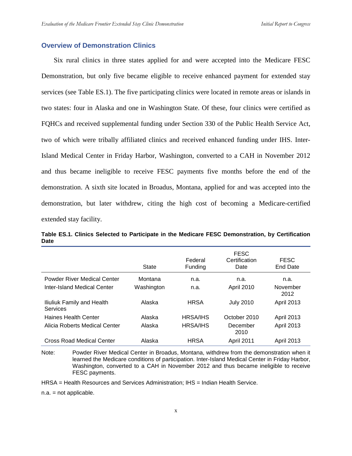## **Overview of Demonstration Clinics**

Six rural clinics in three states applied for and were accepted into the Medicare FESC Demonstration, but only five became eligible to receive enhanced payment for extended stay services (see Table ES.1). The five participating clinics were located in remote areas or islands in two states: four in Alaska and one in Washington State. Of these, four clinics were certified as FQHCs and received supplemental funding under Section 330 of the Public Health Service Act, two of which were tribally affiliated clinics and received enhanced funding under IHS. Inter-Island Medical Center in Friday Harbor, Washington, converted to a CAH in November 2012 and thus became ineligible to receive FESC payments five months before the end of the demonstration. A sixth site located in Broadus, Montana, applied for and was accepted into the demonstration, but later withdrew, citing the high cost of becoming a Medicare-certified extended stay facility.

**Table ES.1. Clinics Selected to Participate in the Medicare FESC Demonstration, by Certification Date**

|                                               | <b>State</b> | Federal<br>Funding | <b>FESC</b><br>Certification<br>Date | <b>FESC</b><br><b>End Date</b> |
|-----------------------------------------------|--------------|--------------------|--------------------------------------|--------------------------------|
| <b>Powder River Medical Center</b>            | Montana      | n.a.               | n.a.                                 | n.a.                           |
| <b>Inter-Island Medical Center</b>            | Washington   | n.a.               | April 2010                           | November<br>2012               |
| Iliuliuk Family and Health<br><b>Services</b> | Alaska       | <b>HRSA</b>        | <b>July 2010</b>                     | April 2013                     |
| <b>Haines Health Center</b>                   | Alaska       | <b>HRSA/IHS</b>    | October 2010                         | <b>April 2013</b>              |
| Alicia Roberts Medical Center                 | Alaska       | <b>HRSA/IHS</b>    | December<br>2010                     | <b>April 2013</b>              |
| Cross Road Medical Center                     | Alaska       | <b>HRSA</b>        | <b>April 2011</b>                    | <b>April 2013</b>              |

Note: Powder River Medical Center in Broadus, Montana, withdrew from the demonstration when it learned the Medicare conditions of participation. Inter-Island Medical Center in Friday Harbor, Washington, converted to a CAH in November 2012 and thus became ineligible to receive FESC payments.

HRSA = Health Resources and Services Administration; IHS = Indian Health Service.

n.a. = not applicable.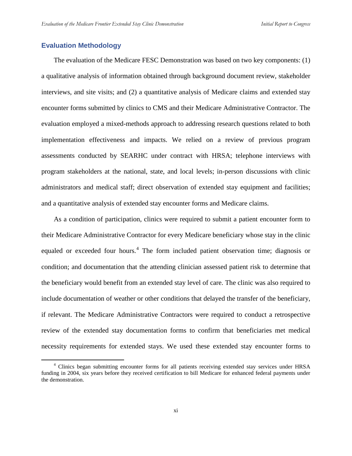## **Evaluation Methodology**

The evaluation of the Medicare FESC Demonstration was based on two key components: (1) a qualitative analysis of information obtained through background document review, stakeholder interviews, and site visits; and (2) a quantitative analysis of Medicare claims and extended stay encounter forms submitted by clinics to CMS and their Medicare Administrative Contractor. The evaluation employed a mixed-methods approach to addressing research questions related to both implementation effectiveness and impacts. We relied on a review of previous program assessments conducted by SEARHC under contract with HRSA; telephone interviews with program stakeholders at the national, state, and local levels; in-person discussions with clinic administrators and medical staff; direct observation of extended stay equipment and facilities; and a quantitative analysis of extended stay encounter forms and Medicare claims.

As a condition of participation, clinics were required to submit a patient encounter form to their Medicare Administrative Contractor for every Medicare beneficiary whose stay in the clinic equaled or exceeded four hours.<sup>[4](#page-10-0)</sup> The form included patient observation time; diagnosis or condition; and documentation that the attending clinician assessed patient risk to determine that the beneficiary would benefit from an extended stay level of care. The clinic was also required to include documentation of weather or other conditions that delayed the transfer of the beneficiary, if relevant. The Medicare Administrative Contractors were required to conduct a retrospective review of the extended stay documentation forms to confirm that beneficiaries met medical necessity requirements for extended stays. We used these extended stay encounter forms to

<span id="page-10-0"></span> <sup>4</sup> Clinics began submitting encounter forms for all patients receiving extended stay services under HRSA funding in 2004, six years before they received certification to bill Medicare for enhanced federal payments under the demonstration.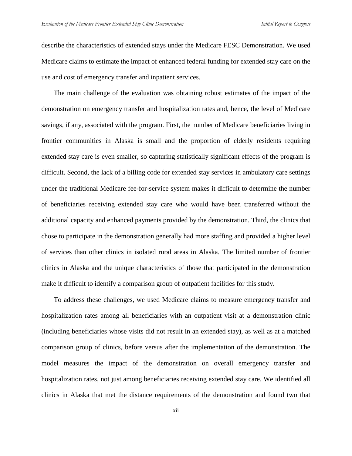describe the characteristics of extended stays under the Medicare FESC Demonstration. We used Medicare claims to estimate the impact of enhanced federal funding for extended stay care on the use and cost of emergency transfer and inpatient services.

The main challenge of the evaluation was obtaining robust estimates of the impact of the demonstration on emergency transfer and hospitalization rates and, hence, the level of Medicare savings, if any, associated with the program. First, the number of Medicare beneficiaries living in frontier communities in Alaska is small and the proportion of elderly residents requiring extended stay care is even smaller, so capturing statistically significant effects of the program is difficult. Second, the lack of a billing code for extended stay services in ambulatory care settings under the traditional Medicare fee-for-service system makes it difficult to determine the number of beneficiaries receiving extended stay care who would have been transferred without the additional capacity and enhanced payments provided by the demonstration. Third, the clinics that chose to participate in the demonstration generally had more staffing and provided a higher level of services than other clinics in isolated rural areas in Alaska. The limited number of frontier clinics in Alaska and the unique characteristics of those that participated in the demonstration make it difficult to identify a comparison group of outpatient facilities for this study.

To address these challenges, we used Medicare claims to measure emergency transfer and hospitalization rates among all beneficiaries with an outpatient visit at a demonstration clinic (including beneficiaries whose visits did not result in an extended stay), as well as at a matched comparison group of clinics, before versus after the implementation of the demonstration. The model measures the impact of the demonstration on overall emergency transfer and hospitalization rates, not just among beneficiaries receiving extended stay care. We identified all clinics in Alaska that met the distance requirements of the demonstration and found two that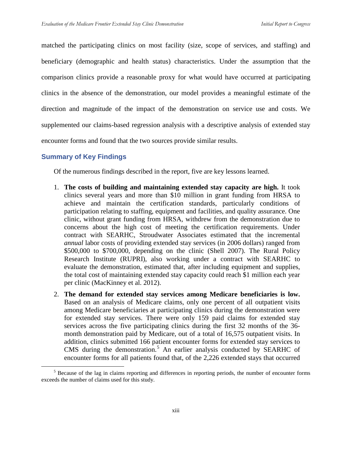matched the participating clinics on most facility (size, scope of services, and staffing) and beneficiary (demographic and health status) characteristics. Under the assumption that the comparison clinics provide a reasonable proxy for what would have occurred at participating clinics in the absence of the demonstration, our model provides a meaningful estimate of the direction and magnitude of the impact of the demonstration on service use and costs. We supplemented our claims-based regression analysis with a descriptive analysis of extended stay encounter forms and found that the two sources provide similar results.

## **Summary of Key Findings**

Of the numerous findings described in the report, five are key lessons learned.

- 1. **The costs of building and maintaining extended stay capacity are high.** It took clinics several years and more than \$10 million in grant funding from HRSA to achieve and maintain the certification standards, particularly conditions of participation relating to staffing, equipment and facilities, and quality assurance. One clinic, without grant funding from HRSA, withdrew from the demonstration due to concerns about the high cost of meeting the certification requirements. Under contract with SEARHC, Stroudwater Associates estimated that the incremental *annual* labor costs of providing extended stay services (in 2006 dollars) ranged from \$500,000 to \$700,000, depending on the clinic (Shell 2007). The Rural Policy Research Institute (RUPRI), also working under a contract with SEARHC to evaluate the demonstration, estimated that, after including equipment and supplies, the total cost of maintaining extended stay capacity could reach \$1 million each year per clinic (MacKinney et al. 2012).
- 2. **The demand for extended stay services among Medicare beneficiaries is low.**  Based on an analysis of Medicare claims, only one percent of all outpatient visits among Medicare beneficiaries at participating clinics during the demonstration were for extended stay services. There were only 159 paid claims for extended stay services across the five participating clinics during the first 32 months of the 36 month demonstration paid by Medicare, out of a total of 16,575 outpatient visits. In addition, clinics submitted 166 patient encounter forms for extended stay services to CMS during the demonstration.<sup>[5](#page-12-0)</sup> An earlier analysis conducted by SEARHC of encounter forms for all patients found that, of the 2,226 extended stays that occurred

<span id="page-12-0"></span><sup>&</sup>lt;sup>5</sup> Because of the lag in claims reporting and differences in reporting periods, the number of encounter forms exceeds the number of claims used for this study.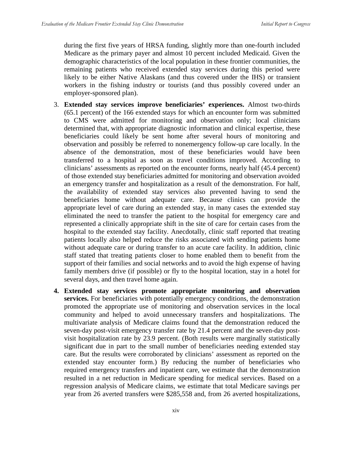during the first five years of HRSA funding, slightly more than one-fourth included Medicare as the primary payer and almost 10 percent included Medicaid. Given the demographic characteristics of the local population in these frontier communities, the remaining patients who received extended stay services during this period were likely to be either Native Alaskans (and thus covered under the IHS) or transient workers in the fishing industry or tourists (and thus possibly covered under an employer-sponsored plan).

- 3. **Extended stay services improve beneficiaries' experiences.** Almost two-thirds (65.1 percent) of the 166 extended stays for which an encounter form was submitted to CMS were admitted for monitoring and observation only; local clinicians determined that, with appropriate diagnostic information and clinical expertise, these beneficiaries could likely be sent home after several hours of monitoring and observation and possibly be referred to nonemergency follow-up care locally. In the absence of the demonstration, most of these beneficiaries would have been transferred to a hospital as soon as travel conditions improved. According to clinicians' assessments as reported on the encounter forms, nearly half (45.4 percent) of those extended stay beneficiaries admitted for monitoring and observation avoided an emergency transfer and hospitalization as a result of the demonstration. For half, the availability of extended stay services also prevented having to send the beneficiaries home without adequate care. Because clinics can provide the appropriate level of care during an extended stay, in many cases the extended stay eliminated the need to transfer the patient to the hospital for emergency care and represented a clinically appropriate shift in the site of care for certain cases from the hospital to the extended stay facility. Anecdotally, clinic staff reported that treating patients locally also helped reduce the risks associated with sending patients home without adequate care or during transfer to an acute care facility. In addition, clinic staff stated that treating patients closer to home enabled them to benefit from the support of their families and social networks and to avoid the high expense of having family members drive (if possible) or fly to the hospital location, stay in a hotel for several days, and then travel home again.
- **4. Extended stay services promote appropriate monitoring and observation services.** For beneficiaries with potentially emergency conditions, the demonstration promoted the appropriate use of monitoring and observation services in the local community and helped to avoid unnecessary transfers and hospitalizations. The multivariate analysis of Medicare claims found that the demonstration reduced the seven-day post-visit emergency transfer rate by 21.4 percent and the seven-day postvisit hospitalization rate by 23.9 percent. (Both results were marginally statistically significant due in part to the small number of beneficiaries needing extended stay care. But the results were corroborated by clinicians' assessment as reported on the extended stay encounter form.) By reducing the number of beneficiaries who required emergency transfers and inpatient care, we estimate that the demonstration resulted in a net reduction in Medicare spending for medical services. Based on a regression analysis of Medicare claims, we estimate that total Medicare savings per year from 26 averted transfers were \$285,558 and, from 26 averted hospitalizations,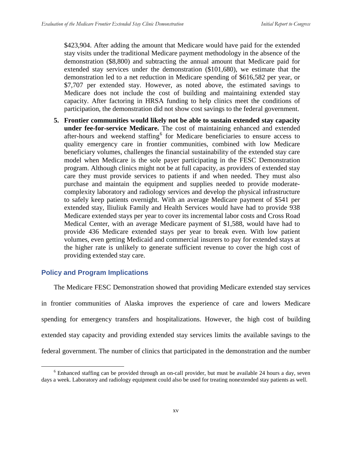\$423,904. After adding the amount that Medicare would have paid for the extended stay visits under the traditional Medicare payment methodology in the absence of the demonstration (\$8,800) and subtracting the annual amount that Medicare paid for extended stay services under the demonstration (\$101,680), we estimate that the demonstration led to a net reduction in Medicare spending of \$616,582 per year, or \$7,707 per extended stay. However, as noted above, the estimated savings to Medicare does not include the cost of building and maintaining extended stay capacity. After factoring in HRSA funding to help clinics meet the conditions of participation, the demonstration did not show cost savings to the federal government.

**5. Frontier communities would likely not be able to sustain extended stay capacity under fee-for-service Medicare.** The cost of maintaining enhanced and extended after-hours and weekend staffing<sup>[6](#page-14-0)</sup> for Medicare beneficiaries to ensure access to quality emergency care in frontier communities, combined with low Medicare beneficiary volumes, challenges the financial sustainability of the extended stay care model when Medicare is the sole payer participating in the FESC Demonstration program. Although clinics might not be at full capacity, as providers of extended stay care they must provide services to patients if and when needed. They must also purchase and maintain the equipment and supplies needed to provide moderatecomplexity laboratory and radiology services and develop the physical infrastructure to safely keep patients overnight. With an average Medicare payment of \$541 per extended stay, Iliuliuk Family and Health Services would have had to provide 938 Medicare extended stays per year to cover its incremental labor costs and Cross Road Medical Center, with an average Medicare payment of \$1,588, would have had to provide 436 Medicare extended stays per year to break even. With low patient volumes, even getting Medicaid and commercial insurers to pay for extended stays at the higher rate is unlikely to generate sufficient revenue to cover the high cost of providing extended stay care.

## **Policy and Program Implications**

The Medicare FESC Demonstration showed that providing Medicare extended stay services

in frontier communities of Alaska improves the experience of care and lowers Medicare spending for emergency transfers and hospitalizations. However, the high cost of building extended stay capacity and providing extended stay services limits the available savings to the federal government. The number of clinics that participated in the demonstration and the number

<span id="page-14-0"></span><sup>&</sup>lt;sup>6</sup> Enhanced staffing can be provided through an on-call provider, but must be available 24 hours a day, seven days a week. Laboratory and radiology equipment could also be used for treating nonextended stay patients as well.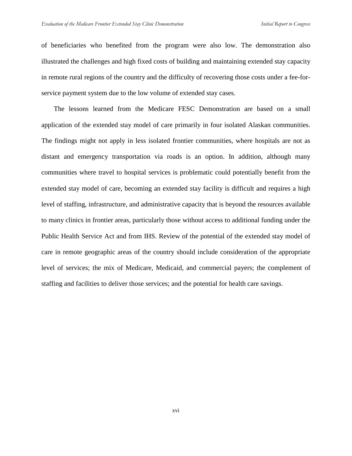of beneficiaries who benefited from the program were also low. The demonstration also illustrated the challenges and high fixed costs of building and maintaining extended stay capacity in remote rural regions of the country and the difficulty of recovering those costs under a fee-forservice payment system due to the low volume of extended stay cases.

The lessons learned from the Medicare FESC Demonstration are based on a small application of the extended stay model of care primarily in four isolated Alaskan communities. The findings might not apply in less isolated frontier communities, where hospitals are not as distant and emergency transportation via roads is an option. In addition, although many communities where travel to hospital services is problematic could potentially benefit from the extended stay model of care, becoming an extended stay facility is difficult and requires a high level of staffing, infrastructure, and administrative capacity that is beyond the resources available to many clinics in frontier areas, particularly those without access to additional funding under the Public Health Service Act and from IHS. Review of the potential of the extended stay model of care in remote geographic areas of the country should include consideration of the appropriate level of services; the mix of Medicare, Medicaid, and commercial payers; the complement of staffing and facilities to deliver those services; and the potential for health care savings.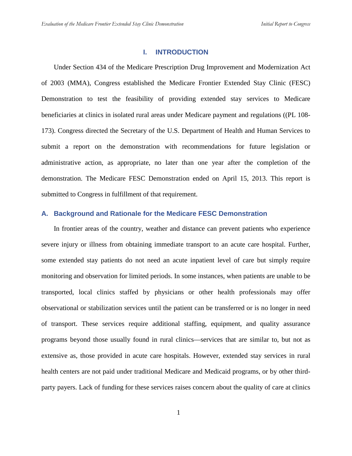#### **I. INTRODUCTION**

Under Section 434 of the Medicare Prescription Drug Improvement and Modernization Act of 2003 (MMA), Congress established the Medicare Frontier Extended Stay Clinic (FESC) Demonstration to test the feasibility of providing extended stay services to Medicare beneficiaries at clinics in isolated rural areas under Medicare payment and regulations ((PL 108- 173). Congress directed the Secretary of the U.S. Department of Health and Human Services to submit a report on the demonstration with recommendations for future legislation or administrative action, as appropriate, no later than one year after the completion of the demonstration. The Medicare FESC Demonstration ended on April 15, 2013. This report is submitted to Congress in fulfillment of that requirement.

## **A. Background and Rationale for the Medicare FESC Demonstration**

In frontier areas of the country, weather and distance can prevent patients who experience severe injury or illness from obtaining immediate transport to an acute care hospital. Further, some extended stay patients do not need an acute inpatient level of care but simply require monitoring and observation for limited periods. In some instances, when patients are unable to be transported, local clinics staffed by physicians or other health professionals may offer observational or stabilization services until the patient can be transferred or is no longer in need of transport. These services require additional staffing, equipment, and quality assurance programs beyond those usually found in rural clinics—services that are similar to, but not as extensive as, those provided in acute care hospitals. However, extended stay services in rural health centers are not paid under traditional Medicare and Medicaid programs, or by other thirdparty payers. Lack of funding for these services raises concern about the quality of care at clinics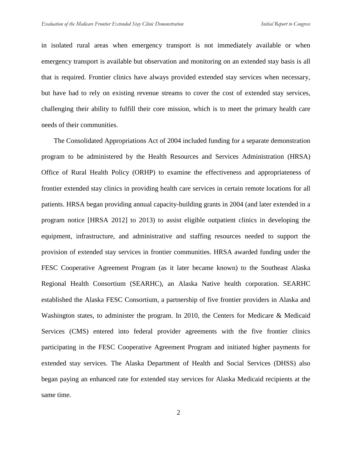in isolated rural areas when emergency transport is not immediately available or when emergency transport is available but observation and monitoring on an extended stay basis is all that is required. Frontier clinics have always provided extended stay services when necessary, but have had to rely on existing revenue streams to cover the cost of extended stay services, challenging their ability to fulfill their core mission, which is to meet the primary health care needs of their communities.

The Consolidated Appropriations Act of 2004 included funding for a separate demonstration program to be administered by the Health Resources and Services Administration (HRSA) Office of Rural Health Policy (ORHP) to examine the effectiveness and appropriateness of frontier extended stay clinics in providing health care services in certain remote locations for all patients. HRSA began providing annual capacity-building grants in 2004 (and later extended in a program notice [HRSA 2012] to 2013) to assist eligible outpatient clinics in developing the equipment, infrastructure, and administrative and staffing resources needed to support the provision of extended stay services in frontier communities. HRSA awarded funding under the FESC Cooperative Agreement Program (as it later became known) to the Southeast Alaska Regional Health Consortium (SEARHC), an Alaska Native health corporation. SEARHC established the Alaska FESC Consortium, a partnership of five frontier providers in Alaska and Washington states, to administer the program. In 2010, the Centers for Medicare & Medicaid Services (CMS) entered into federal provider agreements with the five frontier clinics participating in the FESC Cooperative Agreement Program and initiated higher payments for extended stay services. The Alaska Department of Health and Social Services (DHSS) also began paying an enhanced rate for extended stay services for Alaska Medicaid recipients at the same time.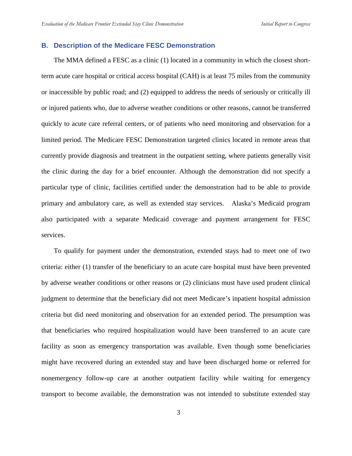## **B. Description of the Medicare FESC Demonstration**

The MMA defined a FESC as a clinic (1) located in a community in which the closest shortterm acute care hospital or critical access hospital (CAH) is at least 75 miles from the community or inaccessible by public road; and (2) equipped to address the needs of seriously or critically ill or injured patients who, due to adverse weather conditions or other reasons, cannot be transferred quickly to acute care referral centers, or of patients who need monitoring and observation for a limited period. The Medicare FESC Demonstration targeted clinics located in remote areas that currently provide diagnosis and treatment in the outpatient setting, where patients generally visit the clinic during the day for a brief encounter. Although the demonstration did not specify a particular type of clinic, facilities certified under the demonstration had to be able to provide primary and ambulatory care, as well as extended stay services. Alaska's Medicaid program also participated with a separate Medicaid coverage and payment arrangement for FESC services.

To qualify for payment under the demonstration, extended stays had to meet one of two criteria: either (1) transfer of the beneficiary to an acute care hospital must have been prevented by adverse weather conditions or other reasons or (2) clinicians must have used prudent clinical judgment to determine that the beneficiary did not meet Medicare's inpatient hospital admission criteria but did need monitoring and observation for an extended period. The presumption was that beneficiaries who required hospitalization would have been transferred to an acute care facility as soon as emergency transportation was available. Even though some beneficiaries might have recovered during an extended stay and have been discharged home or referred for nonemergency follow-up care at another outpatient facility while waiting for emergency transport to become available, the demonstration was not intended to substitute extended stay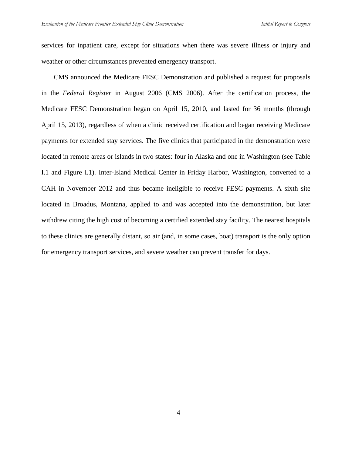services for inpatient care, except for situations when there was severe illness or injury and weather or other circumstances prevented emergency transport.

CMS announced the Medicare FESC Demonstration and published a request for proposals in the *Federal Register* in August 2006 (CMS 2006). After the certification process, the Medicare FESC Demonstration began on April 15, 2010, and lasted for 36 months (through April 15, 2013), regardless of when a clinic received certification and began receiving Medicare payments for extended stay services. The five clinics that participated in the demonstration were located in remote areas or islands in two states: four in Alaska and one in Washington (see Table I.1 and Figure I.1). Inter-Island Medical Center in Friday Harbor, Washington, converted to a CAH in November 2012 and thus became ineligible to receive FESC payments. A sixth site located in Broadus, Montana, applied to and was accepted into the demonstration, but later withdrew citing the high cost of becoming a certified extended stay facility. The nearest hospitals to these clinics are generally distant, so air (and, in some cases, boat) transport is the only option for emergency transport services, and severe weather can prevent transfer for days.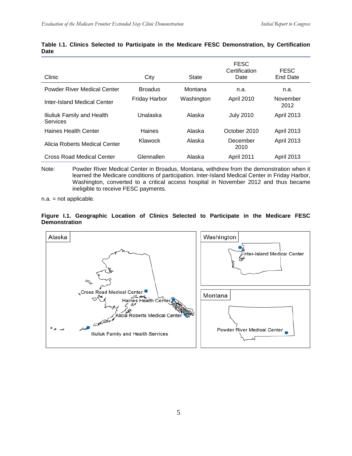| Clinic                                 | City                 | State      | <b>FESC</b><br>Certification<br>Date | <b>FESC</b><br>End Date |
|----------------------------------------|----------------------|------------|--------------------------------------|-------------------------|
| Powder River Medical Center            | <b>Broadus</b>       | Montana    | n.a.                                 | n.a.                    |
| Inter-Island Medical Center            | <b>Friday Harbor</b> | Washington | <b>April 2010</b>                    | November<br>2012        |
| Iliuliuk Family and Health<br>Services | Unalaska             | Alaska     | <b>July 2010</b>                     | <b>April 2013</b>       |
| Haines Health Center                   | Haines               | Alaska     | October 2010                         | <b>April 2013</b>       |
| Alicia Roberts Medical Center          | Klawock              | Alaska     | December<br>2010                     | <b>April 2013</b>       |
| Cross Road Medical Center              | Glennallen           | Alaska     | <b>April 2011</b>                    | <b>April 2013</b>       |

#### **Table I.1. Clinics Selected to Participate in the Medicare FESC Demonstration, by Certification Date**

Note: Powder River Medical Center in Broadus, Montana, withdrew from the demonstration when it learned the Medicare conditions of participation. Inter-Island Medical Center in Friday Harbor, Washington, converted to a critical access hospital in November 2012 and thus became ineligible to receive FESC payments.

n.a. = not applicable.

#### **Figure I.1. Geographic Location of Clinics Selected to Participate in the Medicare FESC Demonstration**

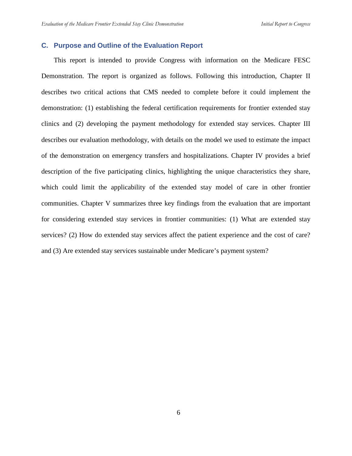## **C. Purpose and Outline of the Evaluation Report**

This report is intended to provide Congress with information on the Medicare FESC Demonstration. The report is organized as follows. Following this introduction, Chapter II describes two critical actions that CMS needed to complete before it could implement the demonstration: (1) establishing the federal certification requirements for frontier extended stay clinics and (2) developing the payment methodology for extended stay services. Chapter III describes our evaluation methodology, with details on the model we used to estimate the impact of the demonstration on emergency transfers and hospitalizations. Chapter IV provides a brief description of the five participating clinics, highlighting the unique characteristics they share, which could limit the applicability of the extended stay model of care in other frontier communities. Chapter V summarizes three key findings from the evaluation that are important for considering extended stay services in frontier communities: (1) What are extended stay services? (2) How do extended stay services affect the patient experience and the cost of care? and (3) Are extended stay services sustainable under Medicare's payment system?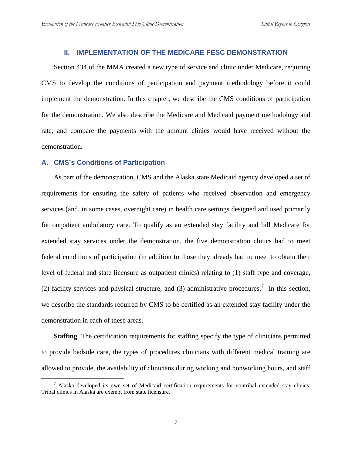## **II. IMPLEMENTATION OF THE MEDICARE FESC DEMONSTRATION**

Section 434 of the MMA created a new type of service and clinic under Medicare, requiring CMS to develop the conditions of participation and payment methodology before it could implement the demonstration. In this chapter, we describe the CMS conditions of participation for the demonstration. We also describe the Medicare and Medicaid payment methodology and rate, and compare the payments with the amount clinics would have received without the demonstration.

## **A. CMS's Conditions of Participation**

As part of the demonstration, CMS and the Alaska state Medicaid agency developed a set of requirements for ensuring the safety of patients who received observation and emergency services (and, in some cases, overnight care) in health care settings designed and used primarily for outpatient ambulatory care. To qualify as an extended stay facility and bill Medicare for extended stay services under the demonstration, the five demonstration clinics had to meet federal conditions of participation (in addition to those they already had to meet to obtain their level of federal and state licensure as outpatient clinics) relating to (1) staff type and coverage, (2) facility services and physical structure, and (3) administrative procedures.<sup>[7](#page-22-0)</sup> In this section, we describe the standards required by CMS to be certified as an extended stay facility under the demonstration in each of these areas.

**Staffing**. The certification requirements for staffing specify the type of clinicians permitted to provide bedside care, the types of procedures clinicians with different medical training are allowed to provide, the availability of clinicians during working and nonworking hours, and staff

<span id="page-22-0"></span> $<sup>7</sup>$  Alaska developed its own set of Medicaid certification requirements for nontribal extended stay clinics.</sup> Tribal clinics in Alaska are exempt from state licensure.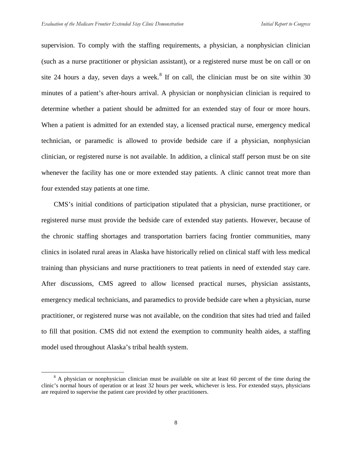supervision. To comply with the staffing requirements, a physician, a nonphysician clinician (such as a nurse practitioner or physician assistant), or a registered nurse must be on call or on site 24 hours a day, seven days a week.<sup>[8](#page-23-0)</sup> If on call, the clinician must be on site within 30 minutes of a patient's after-hours arrival. A physician or nonphysician clinician is required to determine whether a patient should be admitted for an extended stay of four or more hours. When a patient is admitted for an extended stay, a licensed practical nurse, emergency medical technician, or paramedic is allowed to provide bedside care if a physician, nonphysician clinician, or registered nurse is not available. In addition, a clinical staff person must be on site whenever the facility has one or more extended stay patients. A clinic cannot treat more than four extended stay patients at one time.

CMS's initial conditions of participation stipulated that a physician, nurse practitioner, or registered nurse must provide the bedside care of extended stay patients. However, because of the chronic staffing shortages and transportation barriers facing frontier communities, many clinics in isolated rural areas in Alaska have historically relied on clinical staff with less medical training than physicians and nurse practitioners to treat patients in need of extended stay care. After discussions, CMS agreed to allow licensed practical nurses, physician assistants, emergency medical technicians, and paramedics to provide bedside care when a physician, nurse practitioner, or registered nurse was not available, on the condition that sites had tried and failed to fill that position. CMS did not extend the exemption to community health aides, a staffing model used throughout Alaska's tribal health system.

<span id="page-23-0"></span><sup>&</sup>lt;sup>8</sup> A physician or nonphysician clinician must be available on site at least 60 percent of the time during the clinic's normal hours of operation or at least 32 hours per week, whichever is less. For extended stays, physicians are required to supervise the patient care provided by other practitioners.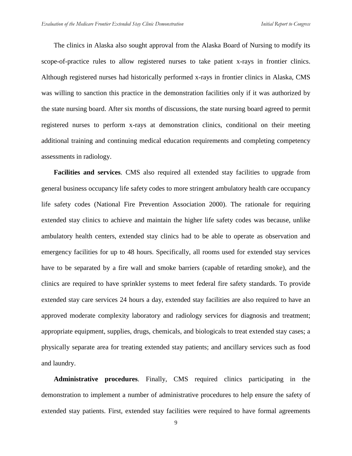The clinics in Alaska also sought approval from the Alaska Board of Nursing to modify its scope-of-practice rules to allow registered nurses to take patient x-rays in frontier clinics. Although registered nurses had historically performed x-rays in frontier clinics in Alaska, CMS was willing to sanction this practice in the demonstration facilities only if it was authorized by the state nursing board. After six months of discussions, the state nursing board agreed to permit registered nurses to perform x-rays at demonstration clinics, conditional on their meeting additional training and continuing medical education requirements and completing competency assessments in radiology.

**Facilities and services**. CMS also required all extended stay facilities to upgrade from general business occupancy life safety codes to more stringent ambulatory health care occupancy life safety codes (National Fire Prevention Association 2000). The rationale for requiring extended stay clinics to achieve and maintain the higher life safety codes was because, unlike ambulatory health centers, extended stay clinics had to be able to operate as observation and emergency facilities for up to 48 hours. Specifically, all rooms used for extended stay services have to be separated by a fire wall and smoke barriers (capable of retarding smoke), and the clinics are required to have sprinkler systems to meet federal fire safety standards. To provide extended stay care services 24 hours a day, extended stay facilities are also required to have an approved moderate complexity laboratory and radiology services for diagnosis and treatment; appropriate equipment, supplies, drugs, chemicals, and biologicals to treat extended stay cases; a physically separate area for treating extended stay patients; and ancillary services such as food and laundry.

**Administrative procedures**. Finally, CMS required clinics participating in the demonstration to implement a number of administrative procedures to help ensure the safety of extended stay patients. First, extended stay facilities were required to have formal agreements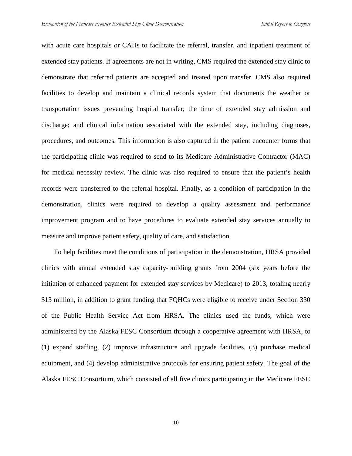with acute care hospitals or CAHs to facilitate the referral, transfer, and inpatient treatment of extended stay patients. If agreements are not in writing, CMS required the extended stay clinic to demonstrate that referred patients are accepted and treated upon transfer. CMS also required facilities to develop and maintain a clinical records system that documents the weather or transportation issues preventing hospital transfer; the time of extended stay admission and discharge; and clinical information associated with the extended stay, including diagnoses, procedures, and outcomes. This information is also captured in the patient encounter forms that the participating clinic was required to send to its Medicare Administrative Contractor (MAC) for medical necessity review. The clinic was also required to ensure that the patient's health records were transferred to the referral hospital. Finally, as a condition of participation in the demonstration, clinics were required to develop a quality assessment and performance improvement program and to have procedures to evaluate extended stay services annually to measure and improve patient safety, quality of care, and satisfaction.

To help facilities meet the conditions of participation in the demonstration, HRSA provided clinics with annual extended stay capacity-building grants from 2004 (six years before the initiation of enhanced payment for extended stay services by Medicare) to 2013, totaling nearly \$13 million, in addition to grant funding that FQHCs were eligible to receive under Section 330 of the Public Health Service Act from HRSA. The clinics used the funds, which were administered by the Alaska FESC Consortium through a cooperative agreement with HRSA, to (1) expand staffing, (2) improve infrastructure and upgrade facilities, (3) purchase medical equipment, and (4) develop administrative protocols for ensuring patient safety. The goal of the Alaska FESC Consortium, which consisted of all five clinics participating in the Medicare FESC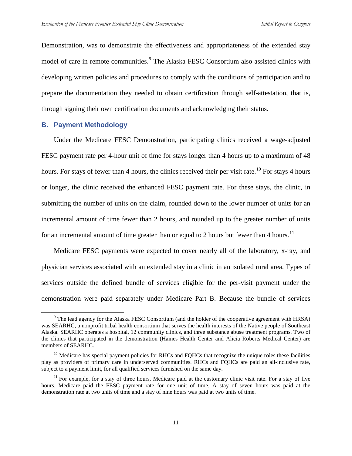Demonstration, was to demonstrate the effectiveness and appropriateness of the extended stay model of care in remote communities.<sup>[9](#page-26-0)</sup> The Alaska FESC Consortium also assisted clinics with developing written policies and procedures to comply with the conditions of participation and to prepare the documentation they needed to obtain certification through self-attestation, that is, through signing their own certification documents and acknowledging their status.

## **B. Payment Methodology**

Under the Medicare FESC Demonstration, participating clinics received a wage-adjusted FESC payment rate per 4-hour unit of time for stays longer than 4 hours up to a maximum of 48 hours. For stays of fewer than 4 hours, the clinics received their per visit rate.<sup>[10](#page-26-1)</sup> For stays 4 hours or longer, the clinic received the enhanced FESC payment rate. For these stays, the clinic, in submitting the number of units on the claim, rounded down to the lower number of units for an incremental amount of time fewer than 2 hours, and rounded up to the greater number of units for an incremental amount of time greater than or equal to 2 hours but fewer than 4 hours.<sup>[11](#page-26-2)</sup>

Medicare FESC payments were expected to cover nearly all of the laboratory, x-ray, and physician services associated with an extended stay in a clinic in an isolated rural area. Types of services outside the defined bundle of services eligible for the per-visit payment under the demonstration were paid separately under Medicare Part B. Because the bundle of services

<span id="page-26-0"></span> <sup>9</sup> The lead agency for the Alaska FESC Consortium (and the holder of the cooperative agreement with HRSA) was SEARHC, a nonprofit tribal health consortium that serves the health interests of the Native people of Southeast Alaska. SEARHC operates a hospital, 12 community clinics, and three substance abuse treatment programs. Two of the clinics that participated in the demonstration (Haines Health Center and Alicia Roberts Medical Center) are members of SEARHC.

<span id="page-26-1"></span> $10$  Medicare has special payment policies for RHCs and FQHCs that recognize the unique roles these facilities play as providers of primary care in underserved communities. RHCs and FQHCs are paid an all-inclusive rate, subject to a payment limit, for all qualified services furnished on the same day.

<span id="page-26-2"></span> $11$  For example, for a stay of three hours, Medicare paid at the customary clinic visit rate. For a stay of five hours, Medicare paid the FESC payment rate for one unit of time. A stay of seven hours was paid at the demonstration rate at two units of time and a stay of nine hours was paid at two units of time.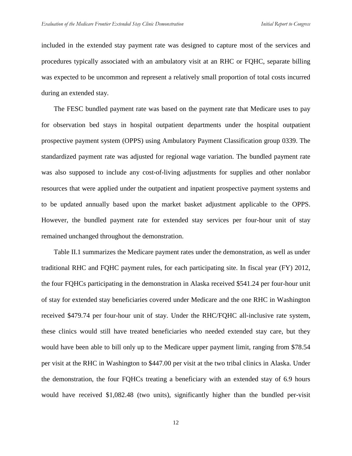included in the extended stay payment rate was designed to capture most of the services and procedures typically associated with an ambulatory visit at an RHC or FQHC, separate billing was expected to be uncommon and represent a relatively small proportion of total costs incurred during an extended stay.

The FESC bundled payment rate was based on the payment rate that Medicare uses to pay for observation bed stays in hospital outpatient departments under the hospital outpatient prospective payment system (OPPS) using Ambulatory Payment Classification group 0339. The standardized payment rate was adjusted for regional wage variation. The bundled payment rate was also supposed to include any cost-of-living adjustments for supplies and other nonlabor resources that were applied under the outpatient and inpatient prospective payment systems and to be updated annually based upon the market basket adjustment applicable to the OPPS. However, the bundled payment rate for extended stay services per four-hour unit of stay remained unchanged throughout the demonstration.

Table II.1 summarizes the Medicare payment rates under the demonstration, as well as under traditional RHC and FQHC payment rules, for each participating site. In fiscal year (FY) 2012, the four FQHCs participating in the demonstration in Alaska received \$541.24 per four-hour unit of stay for extended stay beneficiaries covered under Medicare and the one RHC in Washington received \$479.74 per four-hour unit of stay. Under the RHC/FQHC all-inclusive rate system, these clinics would still have treated beneficiaries who needed extended stay care, but they would have been able to bill only up to the Medicare upper payment limit, ranging from \$78.54 per visit at the RHC in Washington to \$447.00 per visit at the two tribal clinics in Alaska. Under the demonstration, the four FQHCs treating a beneficiary with an extended stay of 6.9 hours would have received \$1,082.48 (two units), significantly higher than the bundled per-visit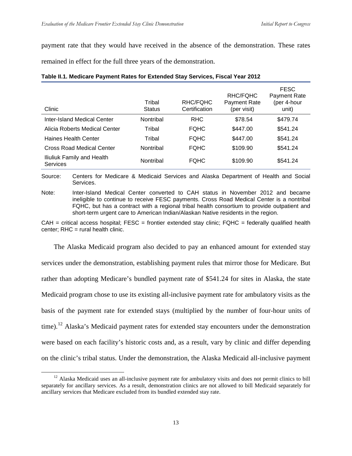payment rate that they would have received in the absence of the demonstration. These rates

remained in effect for the full three years of the demonstration.

| Clinic                                        | Tribal<br><b>Status</b> | RHC/FQHC<br>Certification | RHC/FQHC<br><b>Payment Rate</b><br>(per visit) | <b>FESC</b><br><b>Payment Rate</b><br>(per 4-hour<br>unit) |
|-----------------------------------------------|-------------------------|---------------------------|------------------------------------------------|------------------------------------------------------------|
| Inter-Island Medical Center                   | Nontribal               | <b>RHC</b>                | \$78.54                                        | \$479.74                                                   |
| Alicia Roberts Medical Center                 | Tribal                  | <b>FOHC</b>               | \$447.00                                       | \$541.24                                                   |
| Haines Health Center                          | Tribal                  | <b>FOHC</b>               | \$447.00                                       | \$541.24                                                   |
| Cross Road Medical Center                     | Nontribal               | <b>FOHC</b>               | \$109.90                                       | \$541.24                                                   |
| Iliuliuk Family and Health<br><b>Services</b> | Nontribal               | <b>FOHC</b>               | \$109.90                                       | \$541.24                                                   |

#### **Table II.1. Medicare Payment Rates for Extended Stay Services, Fiscal Year 2012**

Source: Centers for Medicare & Medicaid Services and Alaska Department of Health and Social Services.

Note: Inter-Island Medical Center converted to CAH status in November 2012 and became ineligible to continue to receive FESC payments. Cross Road Medical Center is a nontribal FQHC, but has a contract with a regional tribal health consortium to provide outpatient and short-term urgent care to American Indian/Alaskan Native residents in the region.

 $CAH =$  critical access hospital; FESC = frontier extended stay clinic; FQHC = federally qualified health  $center: RHC = rural health clinic.$ 

The Alaska Medicaid program also decided to pay an enhanced amount for extended stay services under the demonstration, establishing payment rules that mirror those for Medicare. But rather than adopting Medicare's bundled payment rate of \$541.24 for sites in Alaska, the state Medicaid program chose to use its existing all-inclusive payment rate for ambulatory visits as the basis of the payment rate for extended stays (multiplied by the number of four-hour units of time).<sup>[12](#page-28-0)</sup> Alaska's Medicaid payment rates for extended stay encounters under the demonstration were based on each facility's historic costs and, as a result, vary by clinic and differ depending on the clinic's tribal status. Under the demonstration, the Alaska Medicaid all-inclusive payment

<span id="page-28-0"></span> $12$  Alaska Medicaid uses an all-inclusive payment rate for ambulatory visits and does not permit clinics to bill separately for ancillary services. As a result, demonstration clinics are not allowed to bill Medicaid separately for ancillary services that Medicare excluded from its bundled extended stay rate.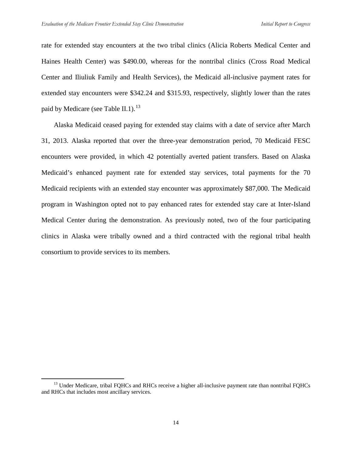rate for extended stay encounters at the two tribal clinics (Alicia Roberts Medical Center and Haines Health Center) was \$490.00, whereas for the nontribal clinics (Cross Road Medical Center and Iliuliuk Family and Health Services), the Medicaid all-inclusive payment rates for extended stay encounters were \$342.24 and \$315.93, respectively, slightly lower than the rates paid by Medicare (see Table II.1).<sup>[13](#page-29-0)</sup>

Alaska Medicaid ceased paying for extended stay claims with a date of service after March 31, 2013. Alaska reported that over the three-year demonstration period, 70 Medicaid FESC encounters were provided, in which 42 potentially averted patient transfers. Based on Alaska Medicaid's enhanced payment rate for extended stay services, total payments for the 70 Medicaid recipients with an extended stay encounter was approximately \$87,000. The Medicaid program in Washington opted not to pay enhanced rates for extended stay care at Inter-Island Medical Center during the demonstration. As previously noted, two of the four participating clinics in Alaska were tribally owned and a third contracted with the regional tribal health consortium to provide services to its members.

<span id="page-29-0"></span> $<sup>13</sup>$  Under Medicare, tribal FQHCs and RHCs receive a higher all-inclusive payment rate than nontribal FQHCs</sup> and RHCs that includes most ancillary services.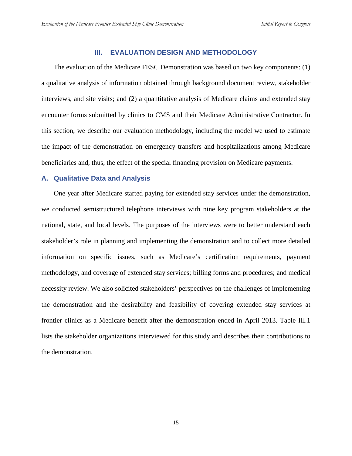## **III. EVALUATION DESIGN AND METHODOLOGY**

The evaluation of the Medicare FESC Demonstration was based on two key components: (1) a qualitative analysis of information obtained through background document review, stakeholder interviews, and site visits; and (2) a quantitative analysis of Medicare claims and extended stay encounter forms submitted by clinics to CMS and their Medicare Administrative Contractor. In this section, we describe our evaluation methodology, including the model we used to estimate the impact of the demonstration on emergency transfers and hospitalizations among Medicare beneficiaries and, thus, the effect of the special financing provision on Medicare payments.

## **A. Qualitative Data and Analysis**

One year after Medicare started paying for extended stay services under the demonstration, we conducted semistructured telephone interviews with nine key program stakeholders at the national, state, and local levels. The purposes of the interviews were to better understand each stakeholder's role in planning and implementing the demonstration and to collect more detailed information on specific issues, such as Medicare's certification requirements, payment methodology, and coverage of extended stay services; billing forms and procedures; and medical necessity review. We also solicited stakeholders' perspectives on the challenges of implementing the demonstration and the desirability and feasibility of covering extended stay services at frontier clinics as a Medicare benefit after the demonstration ended in April 2013. Table III.1 lists the stakeholder organizations interviewed for this study and describes their contributions to the demonstration.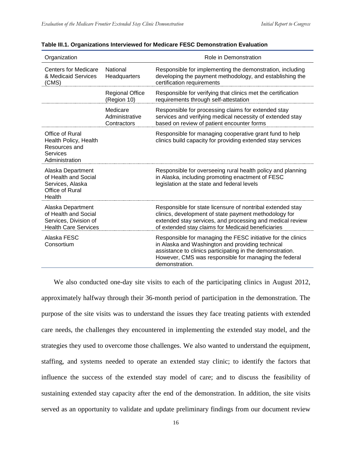| Organization                                                                                      |                                           | Role in Demonstration                                                                                                                                                                                                                                    |
|---------------------------------------------------------------------------------------------------|-------------------------------------------|----------------------------------------------------------------------------------------------------------------------------------------------------------------------------------------------------------------------------------------------------------|
| <b>Centers for Medicare</b><br>& Medicaid Services<br>(CMS)                                       | National<br>Headquarters                  | Responsible for implementing the demonstration, including<br>developing the payment methodology, and establishing the<br>certification requirements                                                                                                      |
|                                                                                                   | <b>Regional Office</b><br>(Region 10)     | Responsible for verifying that clinics met the certification<br>requirements through self-attestation                                                                                                                                                    |
|                                                                                                   | Medicare<br>Administrative<br>Contractors | Responsible for processing claims for extended stay<br>services and verifying medical necessity of extended stay<br>based on review of patient encounter forms                                                                                           |
| Office of Rural<br>Health Policy, Health<br>Resources and<br><b>Services</b><br>Administration    |                                           | Responsible for managing cooperative grant fund to help<br>clinics build capacity for providing extended stay services                                                                                                                                   |
| Alaska Department<br>of Health and Social<br>Services, Alaska<br>Office of Rural<br>Health        |                                           | Responsible for overseeing rural health policy and planning<br>in Alaska, including promoting enactment of FESC<br>legislation at the state and federal levels                                                                                           |
| Alaska Department<br>of Health and Social<br>Services, Division of<br><b>Health Care Services</b> |                                           | Responsible for state licensure of nontribal extended stay<br>clinics, development of state payment methodology for<br>extended stay services, and processing and medical review<br>of extended stay claims for Medicaid beneficiaries                   |
| Alaska FESC<br>Consortium                                                                         |                                           | Responsible for managing the FESC initiative for the clinics<br>in Alaska and Washington and providing technical<br>assistance to clinics participating in the demonstration.<br>However, CMS was responsible for managing the federal<br>demonstration. |

#### **Table III.1. Organizations Interviewed for Medicare FESC Demonstration Evaluation**

We also conducted one-day site visits to each of the participating clinics in August 2012, approximately halfway through their 36-month period of participation in the demonstration. The purpose of the site visits was to understand the issues they face treating patients with extended care needs, the challenges they encountered in implementing the extended stay model, and the strategies they used to overcome those challenges. We also wanted to understand the equipment, staffing, and systems needed to operate an extended stay clinic; to identify the factors that influence the success of the extended stay model of care; and to discuss the feasibility of sustaining extended stay capacity after the end of the demonstration. In addition, the site visits served as an opportunity to validate and update preliminary findings from our document review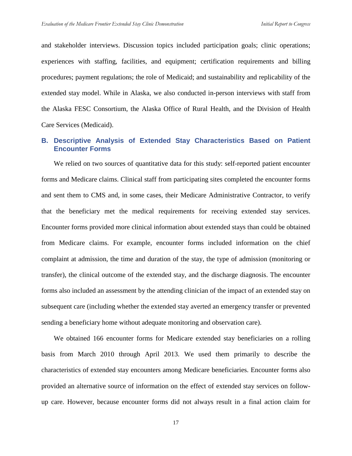and stakeholder interviews. Discussion topics included participation goals; clinic operations; experiences with staffing, facilities, and equipment; certification requirements and billing procedures; payment regulations; the role of Medicaid; and sustainability and replicability of the extended stay model. While in Alaska, we also conducted in-person interviews with staff from the Alaska FESC Consortium, the Alaska Office of Rural Health, and the Division of Health Care Services (Medicaid).

## **B. Descriptive Analysis of Extended Stay Characteristics Based on Patient Encounter Forms**

We relied on two sources of quantitative data for this study: self-reported patient encounter forms and Medicare claims. Clinical staff from participating sites completed the encounter forms and sent them to CMS and, in some cases, their Medicare Administrative Contractor, to verify that the beneficiary met the medical requirements for receiving extended stay services. Encounter forms provided more clinical information about extended stays than could be obtained from Medicare claims. For example, encounter forms included information on the chief complaint at admission, the time and duration of the stay, the type of admission (monitoring or transfer), the clinical outcome of the extended stay, and the discharge diagnosis. The encounter forms also included an assessment by the attending clinician of the impact of an extended stay on subsequent care (including whether the extended stay averted an emergency transfer or prevented sending a beneficiary home without adequate monitoring and observation care).

We obtained 166 encounter forms for Medicare extended stay beneficiaries on a rolling basis from March 2010 through April 2013. We used them primarily to describe the characteristics of extended stay encounters among Medicare beneficiaries. Encounter forms also provided an alternative source of information on the effect of extended stay services on followup care. However, because encounter forms did not always result in a final action claim for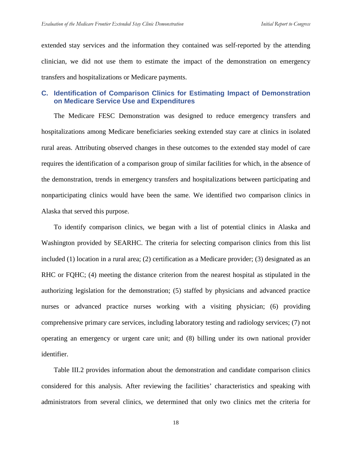extended stay services and the information they contained was self-reported by the attending clinician, we did not use them to estimate the impact of the demonstration on emergency transfers and hospitalizations or Medicare payments.

## **C. Identification of Comparison Clinics for Estimating Impact of Demonstration on Medicare Service Use and Expenditures**

The Medicare FESC Demonstration was designed to reduce emergency transfers and hospitalizations among Medicare beneficiaries seeking extended stay care at clinics in isolated rural areas. Attributing observed changes in these outcomes to the extended stay model of care requires the identification of a comparison group of similar facilities for which, in the absence of the demonstration, trends in emergency transfers and hospitalizations between participating and nonparticipating clinics would have been the same. We identified two comparison clinics in Alaska that served this purpose.

To identify comparison clinics, we began with a list of potential clinics in Alaska and Washington provided by SEARHC. The criteria for selecting comparison clinics from this list included (1) location in a rural area; (2) certification as a Medicare provider; (3) designated as an RHC or FQHC; (4) meeting the distance criterion from the nearest hospital as stipulated in the authorizing legislation for the demonstration; (5) staffed by physicians and advanced practice nurses or advanced practice nurses working with a visiting physician; (6) providing comprehensive primary care services, including laboratory testing and radiology services; (7) not operating an emergency or urgent care unit; and (8) billing under its own national provider identifier.

Table III.2 provides information about the demonstration and candidate comparison clinics considered for this analysis. After reviewing the facilities' characteristics and speaking with administrators from several clinics, we determined that only two clinics met the criteria for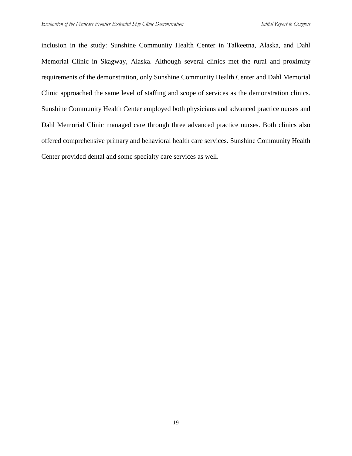inclusion in the study: Sunshine Community Health Center in Talkeetna, Alaska, and Dahl Memorial Clinic in Skagway, Alaska. Although several clinics met the rural and proximity requirements of the demonstration, only Sunshine Community Health Center and Dahl Memorial Clinic approached the same level of staffing and scope of services as the demonstration clinics. Sunshine Community Health Center employed both physicians and advanced practice nurses and Dahl Memorial Clinic managed care through three advanced practice nurses. Both clinics also offered comprehensive primary and behavioral health care services. Sunshine Community Health Center provided dental and some specialty care services as well.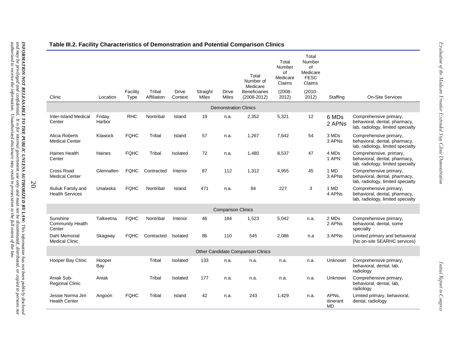|                                               |                  | Facility    | Tribal      | <b>Drive</b> | Straight | Drive                        | Total<br>Number of<br>Medicare<br><b>Beneficiaries</b> | Total<br>Number<br>of<br>Medicare<br>Claims<br>$(2008 -$ | Total<br>Number<br>of<br>Medicare<br><b>FESC</b><br>Claims<br>$(2010 -$ |                                              |                                                                                               |
|-----------------------------------------------|------------------|-------------|-------------|--------------|----------|------------------------------|--------------------------------------------------------|----------------------------------------------------------|-------------------------------------------------------------------------|----------------------------------------------|-----------------------------------------------------------------------------------------------|
| Clinic                                        | Location         | Type        | Affiliation | Context      | Miles    | Miles                        | $(2008 - 2012)$                                        | 2012)                                                    | 2012)                                                                   | Staffing                                     | <b>On-Site Services</b>                                                                       |
|                                               |                  |             |             |              |          | <b>Demonstration Clinics</b> |                                                        |                                                          |                                                                         |                                              |                                                                                               |
| <b>Inter-Island Medical</b><br>Center         | Friday<br>Harbor | <b>RHC</b>  | Nontribal   | Island       | 19       | n.a.                         | 2,352                                                  | 5,321                                                    | 12                                                                      | 6 MDs<br>2 APNs                              | Comprehensive primary,<br>behavioral, dental, pharmacy,<br>lab, radiology, limited specialty  |
| Alicia Roberts<br><b>Medical Center</b>       | Klawock          | <b>FQHC</b> | Tribal      | Island       | 57       | n.a.                         | 1,267                                                  | 7,642                                                    | 54                                                                      | 3 MDs<br>3 APNs                              | Comprehensive primary,<br>behavioral, dental, pharmacy,<br>lab, radiology, limited specialty  |
| Haines Health<br>Center                       | Haines           | <b>FQHC</b> | Tribal      | Isolated     | 72       | n.a.                         | 1.480                                                  | 8,537                                                    | 47                                                                      | 4 MDs<br>1 APN                               | Comprehensive. primary,<br>behavioral, dental, pharmacy,<br>lab, radiology, limited specialty |
| Cross Road<br><b>Medical Center</b>           | Glennallen       | <b>FQHC</b> | Contracted  | Interior     | 87       | 112                          | 1,312                                                  | 4,955                                                    | 45                                                                      | 1 MD<br>3 APNs                               | Comprehensive primary,<br>behavioral, dental, pharmacy,<br>lab, radiology, limited specialty  |
| Iliuliuk Family and<br><b>Health Services</b> | Unalaska         | <b>FQHC</b> | Nontribal   | Island       | 471      | n.a.                         | 84                                                     | 227                                                      | 3                                                                       | 1 MD<br>4 APNs                               | Comprehensive primary,<br>behavioral, dental, pharmacy,<br>lab, radiology, limited specialty  |
|                                               |                  |             |             |              |          | <b>Comparison Clinics</b>    |                                                        |                                                          |                                                                         |                                              |                                                                                               |
| Sunshine<br>Community Health<br>Center        | Talkeetna        | <b>FQHC</b> | Nontribal   | Interior     | 46       | 184                          | 1,523                                                  | 5,042                                                    | n.a.                                                                    | 2 MDs<br>2 APNs                              | Comprehensive primary,<br>behavioral, dental, some<br>specialty                               |
| <b>Dahl Memorial</b><br><b>Medical Clinic</b> | Skagway          | <b>FQHC</b> | Contracted  | Isolated     | 86       | 110                          | 545                                                    | 2,086                                                    | n.a                                                                     | 3 APNs                                       | Limited primary and behavioral<br>(No on-site SEARHC services)                                |
|                                               |                  |             |             |              |          |                              | Other Candidate Comparison Clinics                     |                                                          |                                                                         |                                              |                                                                                               |
| Hooper Bay Clinic                             | Hooper<br>Bay    |             | Tribal      | Isolated     | 133      | n.a.                         | n.a.                                                   | n.a.                                                     | n.a.                                                                    | Unknown                                      | Comprehensive primary,<br>behavioral, dental, lab,<br>radiology                               |
| Aniak Sub-<br><b>Regional Clinic</b>          | Aniak            |             | Tribal      | Isolated     | 177      | n.a.                         | n.a.                                                   | n.a.                                                     | n.a.                                                                    | Unknown                                      | Comprehensive primary,<br>behavioral, dental, lab,<br>radiology                               |
| Jessie Norma Jim<br><b>Health Center</b>      | Angoon           | <b>FQHC</b> | Tribal      | Island       | 42       | n.a.                         | 243                                                    | 1,429                                                    | n.a.                                                                    | APN <sub>s</sub> .<br>itinerant<br><b>MD</b> | Limited primary, behavioral,<br>dental, radiology                                             |

20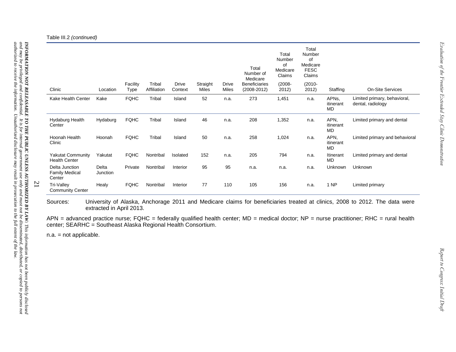Table III.2 *(continued)*

| Clinic                                            | Location          | Facility<br>Type | Tribal<br>Affiliation | <b>Drive</b><br>Context | Straight<br>Miles | Drive<br>Miles | Total<br>Number of<br>Medicare<br><b>Beneficiaries</b><br>$(2008 - 2012)$ | Total<br>Number<br>0f<br>Medicare<br>Claims<br>$(2008 -$<br>2012) | Total<br>Number<br>0f<br>Medicare<br><b>FESC</b><br>Claims<br>$(2010 -$<br>2012) | Staffing                            | On-Site Services                                  |
|---------------------------------------------------|-------------------|------------------|-----------------------|-------------------------|-------------------|----------------|---------------------------------------------------------------------------|-------------------------------------------------------------------|----------------------------------------------------------------------------------|-------------------------------------|---------------------------------------------------|
| Kake Health Center                                | Kake              | <b>FQHC</b>      | Tribal                | Island                  | 52                | n.a.           | 273                                                                       | 1,451                                                             | n.a.                                                                             | APN <sub>s</sub><br>itinerant<br>MD | Limited primary, behavioral,<br>dental, radiology |
| Hydaburg Health<br>Center                         | Hydaburg          | <b>FQHC</b>      | Tribal                | Island                  | 46                | n.a.           | 208                                                                       | 1,352                                                             | n.a.                                                                             | APN,<br>itinerant<br><b>MD</b>      | Limited primary and dental                        |
| Hoonah Health<br>Clinic                           | Hoonah            | <b>FQHC</b>      | Tribal                | Island                  | 50                | n.a.           | 258                                                                       | 1,024                                                             | n.a.                                                                             | APN,<br>itinerant<br>MD             | Limited primary and behavioral                    |
| <b>Yakutat Community</b><br><b>Health Center</b>  | Yakutat           | <b>FQHC</b>      | Nontribal             | Isolated                | 152               | n.a.           | 205                                                                       | 794                                                               | n.a.                                                                             | Itinerant<br>MD                     | Limited primary and dental                        |
| Delta Junction<br><b>Family Medical</b><br>Center | Delta<br>Junction | Private          | Nontribal             | Interior                | 95                | 95             | n.a.                                                                      | n.a.                                                              | n.a.                                                                             | Unknown                             | Unknown                                           |
| Tri-Valley<br><b>Community Center</b>             | Healy             | <b>FQHC</b>      | Nontribal             | Interior                | 77                | 110            | 105                                                                       | 156                                                               | n.a.                                                                             | 1 NP                                | Limited primary                                   |

Sources: University of Alaska, Anchorage 2011 and Medicare claims for beneficiaries treated at clinics, 2008 to 2012. The data were extracted in April 2013.

APN = advanced practice nurse; FQHC = federally qualified health center; MD = medical doctor; NP = nurse practitioner; RHC = rural health center; SEARHC = Southeast Alaska Regional Health Consortium.

n.a. = not applicable.

21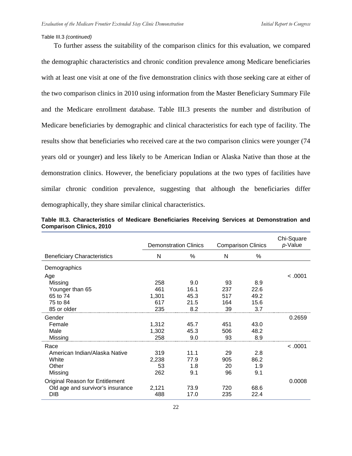#### Table III.3 *(continued)*

To further assess the suitability of the comparison clinics for this evaluation, we compared the demographic characteristics and chronic condition prevalence among Medicare beneficiaries with at least one visit at one of the five demonstration clinics with those seeking care at either of the two comparison clinics in 2010 using information from the Master Beneficiary Summary File and the Medicare enrollment database. Table III.3 presents the number and distribution of Medicare beneficiaries by demographic and clinical characteristics for each type of facility. The results show that beneficiaries who received care at the two comparison clinics were younger (74 years old or younger) and less likely to be American Indian or Alaska Native than those at the demonstration clinics. However, the beneficiary populations at the two types of facilities have similar chronic condition prevalence, suggesting that although the beneficiaries differ demographically, they share similar clinical characteristics.

|                                    |       | <b>Demonstration Clinics</b> | <b>Comparison Clinics</b> | Chi-Square<br>p-Value |         |
|------------------------------------|-------|------------------------------|---------------------------|-----------------------|---------|
| <b>Beneficiary Characteristics</b> | N     | %                            | N                         | %                     |         |
| Demographics                       |       |                              |                           |                       |         |
| Age                                |       |                              |                           |                       | < .0001 |
| Missing                            | 258   | 9.0                          | 93                        | 8.9                   |         |
| Younger than 65                    | 461   | 16.1                         | 237                       | 22.6                  |         |
| 65 to 74                           | 1,301 | 45.3                         | 517                       | 49.2                  |         |
| 75 to 84                           | 617   | 21.5                         | 164                       | 15.6                  |         |
| 85 or older                        | 235   | 8.2                          | 39                        | 3.7                   |         |
| Gender                             |       |                              |                           |                       | 0.2659  |
| Female                             | 1,312 | 45.7                         | 451                       | 43.0                  |         |
| Male                               | 1,302 | 45.3                         | 506                       | 48.2                  |         |
| Missing                            | 258   | 9.0                          | 93                        | 8.9                   |         |
| Race                               |       |                              |                           |                       | < 0.001 |
| American Indian/Alaska Native      | 319   | 11.1                         | 29                        | 2.8                   |         |
| White                              | 2,238 | 77.9                         | 905                       | 86.2                  |         |
| Other                              | 53    | 1.8                          | 20                        | 1.9                   |         |
| Missing                            | 262   | 9.1                          | 96                        | 9.1                   |         |
| Original Reason for Entitlement    |       |                              |                           |                       | 0.0008  |
| Old age and survivor's insurance   | 2,121 | 73.9                         | 720                       | 68.6                  |         |
| <b>DIB</b>                         | 488   | 17.0                         | 235                       | 22.4                  |         |

|  | Table III.3. Characteristics of Medicare Beneficiaries Receiving Services at Demonstration and |  |  |  |  |
|--|------------------------------------------------------------------------------------------------|--|--|--|--|
|  | <b>Comparison Clinics, 2010</b>                                                                |  |  |  |  |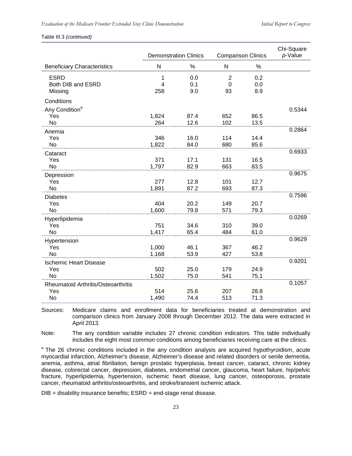#### Table III.3 *(continued)*

|                                     | <b>Demonstration Clinics</b> |              | <b>Comparison Clinics</b> |              | Chi-Square<br>p-Value |
|-------------------------------------|------------------------------|--------------|---------------------------|--------------|-----------------------|
| <b>Beneficiary Characteristics</b>  | N                            | %            | ${\sf N}$                 | %            |                       |
| <b>ESRD</b>                         | 1                            | 0.0          | 2                         | 0.2          |                       |
| Both DIB and ESRD<br>Missing        | 4<br>258                     | 0.1<br>9.0   | $\Omega$<br>93            | 0.0<br>8.9   |                       |
| Conditions                          |                              |              |                           |              |                       |
| Any Condition <sup>a</sup>          |                              |              |                           |              | 0.5344                |
| Yes                                 | 1,824                        | 87.4         | 652                       | 86.5         |                       |
| <b>No</b>                           | 264                          | 12.6         | 102                       | 13.5         | 0.2864                |
| Anemia<br>Yes                       | 346                          | 16.0         | 114                       | 14.4         |                       |
| No                                  | 1,822                        | 84.0         | 680                       | 85.6         |                       |
| Cataract                            |                              |              |                           |              | 0.6933                |
| Yes                                 | 371                          | 17.1         | 131                       | 16.5         |                       |
| No                                  | 1,797                        | 82.9         | 663                       | 83.5         |                       |
| Depression                          |                              |              |                           |              | 0.9675                |
| Yes                                 | 277                          | 12.8         | 101                       | 12.7         |                       |
| <b>No</b>                           | 1,891                        | 87.2         | 693                       | 87.3         |                       |
| <b>Diabetes</b>                     |                              |              |                           |              | 0.7596                |
| Yes                                 | 404                          | 20.2         | 149                       | 20.7         |                       |
| No                                  | 1,600                        | 79.8         | 571                       | 79.3         |                       |
| Hyperlipidemia                      |                              |              |                           |              | 0.0269                |
| Yes<br>No                           | 751<br>1,417                 | 34.6<br>65.4 | 310<br>484                | 39.0<br>61.0 |                       |
|                                     |                              |              |                           |              | 0.9629                |
| Hypertension<br>Yes                 | 1,000                        | 46.1         | 367                       | 46.2         |                       |
| No                                  | 1,168                        | 53.9         | 427                       | 53.8         |                       |
| <b>Ischemic Heart Disease</b>       |                              |              |                           |              | 0.9201                |
| Yes                                 | 502                          | 25.0         | 179                       | 24.9         |                       |
| No                                  | 1,502                        | 75.0         | 541                       | 75.1         |                       |
| Rheumatoid Arthritis/Osteoarthritis |                              |              |                           |              | 0.1057                |
| Yes                                 | 514                          | 25.6         | 207                       | 28.8         |                       |
| No                                  | 1,490                        | 74.4         | 513                       | 71.3         |                       |

Sources: Medicare claims and enrollment data for beneficiaries treated at demonstration and comparison clinics from January 2008 through December 2012. The data were extracted in April 2013.

Note: The any condition variable includes 27 chronic condition indicators. This table individually includes the eight most common conditions among beneficiaries receiving care at the clinics.

<sup>a</sup> The 26 chronic conditions included in the any condition analysis are acquired hypothyroidism, acute myocardial infarction, Alzheimer's disease, Alzheimer's disease and related disorders or senile dementia, anemia, asthma, atrial fibrillation, benign prostatic hyperplasia, breast cancer, cataract, chronic kidney disease, colorectal cancer, depression, diabetes, endometrial cancer, glaucoma, heart failure, hip/pelvic fracture, hyperlipidemia, hypertension, ischemic heart disease, lung cancer, osteoporosis, prostate cancer, rheumatoid arthritis/osteoarthritis, and stroke/transient ischemic attack.

 $DIB =$  disability insurance benefits;  $ESRD =$  end-stage renal disease.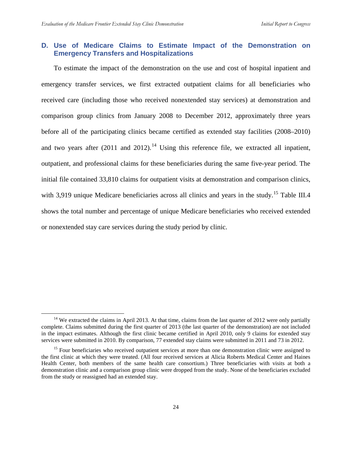## **D. Use of Medicare Claims to Estimate Impact of the Demonstration on Emergency Transfers and Hospitalizations**

To estimate the impact of the demonstration on the use and cost of hospital inpatient and emergency transfer services, we first extracted outpatient claims for all beneficiaries who received care (including those who received nonextended stay services) at demonstration and comparison group clinics from January 2008 to December 2012, approximately three years before all of the participating clinics became certified as extended stay facilities (2008–2010) and two years after  $(2011 \text{ and } 2012)$ .<sup>[14](#page-39-0)</sup> Using this reference file, we extracted all inpatient, outpatient, and professional claims for these beneficiaries during the same five-year period. The initial file contained 33,810 claims for outpatient visits at demonstration and comparison clinics, with 3,919 unique Medicare beneficiaries across all clinics and years in the study.<sup>[15](#page-39-1)</sup> Table III.4 shows the total number and percentage of unique Medicare beneficiaries who received extended or nonextended stay care services during the study period by clinic.

<span id="page-39-0"></span> $14$  We extracted the claims in April 2013. At that time, claims from the last quarter of 2012 were only partially complete. Claims submitted during the first quarter of 2013 (the last quarter of the demonstration) are not included in the impact estimates. Although the first clinic became certified in April 2010, only 9 claims for extended stay services were submitted in 2010. By comparison, 77 extended stay claims were submitted in 2011 and 73 in 2012.

<span id="page-39-1"></span><sup>&</sup>lt;sup>15</sup> Four beneficiaries who received outpatient services at more than one demonstration clinic were assigned to the first clinic at which they were treated. (All four received services at Alicia Roberts Medical Center and Haines Health Center, both members of the same health care consortium.) Three beneficiaries with visits at both a demonstration clinic and a comparison group clinic were dropped from the study. None of the beneficiaries excluded from the study or reassigned had an extended stay.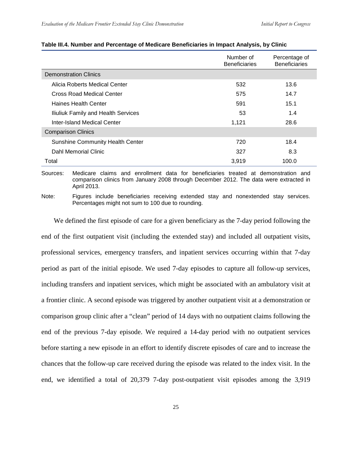|                                         | Number of<br><b>Beneficiaries</b> | Percentage of<br><b>Beneficiaries</b> |
|-----------------------------------------|-----------------------------------|---------------------------------------|
| <b>Demonstration Clinics</b>            |                                   |                                       |
| Alicia Roberts Medical Center           | 532                               | 13.6                                  |
| Cross Road Medical Center               | 575                               | 14.7                                  |
| <b>Haines Health Center</b>             | 591                               | 15.1                                  |
| Iliuliuk Family and Health Services     | 53                                | 1.4                                   |
| Inter-Island Medical Center             | 1,121                             | 28.6                                  |
| <b>Comparison Clinics</b>               |                                   |                                       |
| <b>Sunshine Community Health Center</b> | 720                               | 18.4                                  |
| Dahl Memorial Clinic                    | 327                               | 8.3                                   |
| Total                                   | 3,919                             | 100.0                                 |

#### **Table III.4. Number and Percentage of Medicare Beneficiaries in Impact Analysis, by Clinic**

Sources: Medicare claims and enrollment data for beneficiaries treated at demonstration and comparison clinics from January 2008 through December 2012. The data were extracted in April 2013.

Note: Figures include beneficiaries receiving extended stay and nonextended stay services. Percentages might not sum to 100 due to rounding.

We defined the first episode of care for a given beneficiary as the 7-day period following the end of the first outpatient visit (including the extended stay) and included all outpatient visits, professional services, emergency transfers, and inpatient services occurring within that 7-day period as part of the initial episode. We used 7-day episodes to capture all follow-up services, including transfers and inpatient services, which might be associated with an ambulatory visit at a frontier clinic. A second episode was triggered by another outpatient visit at a demonstration or comparison group clinic after a "clean" period of 14 days with no outpatient claims following the end of the previous 7-day episode. We required a 14-day period with no outpatient services before starting a new episode in an effort to identify discrete episodes of care and to increase the chances that the follow-up care received during the episode was related to the index visit. In the end, we identified a total of 20,379 7-day post-outpatient visit episodes among the 3,919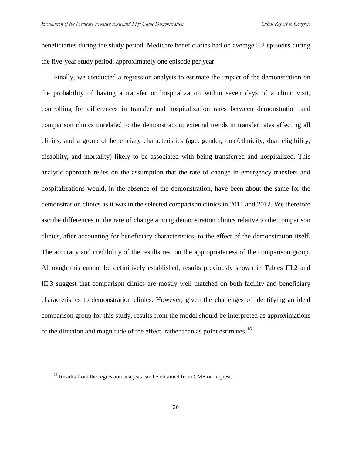beneficiaries during the study period. Medicare beneficiaries had on average 5.2 episodes during the five-year study period, approximately one episode per year.

Finally, we conducted a regression analysis to estimate the impact of the demonstration on the probability of having a transfer or hospitalization within seven days of a clinic visit, controlling for differences in transfer and hospitalization rates between demonstration and comparison clinics unrelated to the demonstration; external trends in transfer rates affecting all clinics; and a group of beneficiary characteristics (age, gender, race/ethnicity, dual eligibility, disability, and mortality) likely to be associated with being transferred and hospitalized. This analytic approach relies on the assumption that the rate of change in emergency transfers and hospitalizations would, in the absence of the demonstration, have been about the same for the demonstration clinics as it was in the selected comparison clinics in 2011 and 2012. We therefore ascribe differences in the rate of change among demonstration clinics relative to the comparison clinics, after accounting for beneficiary characteristics, to the effect of the demonstration itself. The accuracy and credibility of the results rest on the appropriateness of the comparison group. Although this cannot be definitively established, results previously shown in Tables III.2 and III.3 suggest that comparison clinics are mostly well matched on both facility and beneficiary characteristics to demonstration clinics. However, given the challenges of identifying an ideal comparison group for this study, results from the model should be interpreted as approximations of the direction and magnitude of the effect, rather than as point estimates.<sup>[16](#page-41-0)</sup>

<span id="page-41-0"></span><sup>&</sup>lt;sup>16</sup> Results from the regression analysis can be obtained from CMS on request.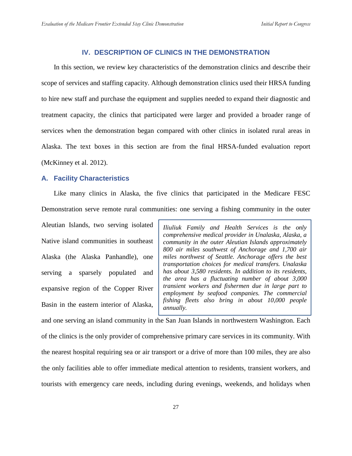## **IV. DESCRIPTION OF CLINICS IN THE DEMONSTRATION**

In this section, we review key characteristics of the demonstration clinics and describe their scope of services and staffing capacity. Although demonstration clinics used their HRSA funding to hire new staff and purchase the equipment and supplies needed to expand their diagnostic and treatment capacity, the clinics that participated were larger and provided a broader range of services when the demonstration began compared with other clinics in isolated rural areas in Alaska. The text boxes in this section are from the final HRSA-funded evaluation report (McKinney et al. 2012).

## **A. Facility Characteristics**

Like many clinics in Alaska, the five clinics that participated in the Medicare FESC Demonstration serve remote rural communities: one serving a fishing community in the outer

Aleutian Islands, two serving isolated Native island communities in southeast Alaska (the Alaska Panhandle), one serving a sparsely populated and expansive region of the Copper River Basin in the eastern interior of Alaska,

*Iliuliuk Family and Health Services is the only comprehensive medical provider in Unalaska, Alaska, a community in the outer Aleutian Islands approximately 800 air miles southwest of Anchorage and 1,700 air miles northwest of Seattle. Anchorage offers the best transportation choices for medical transfers. Unalaska has about 3,580 residents. In addition to its residents, the area has a fluctuating number of about 3,000 transient workers and fishermen due in large part to employment by seafood companies. The commercial fishing fleets also bring in about 10,000 people annually.*

and one serving an island community in the San Juan Islands in northwestern Washington. Each of the clinics is the only provider of comprehensive primary care services in its community. With the nearest hospital requiring sea or air transport or a drive of more than 100 miles, they are also the only facilities able to offer immediate medical attention to residents, transient workers, and tourists with emergency care needs, including during evenings, weekends, and holidays when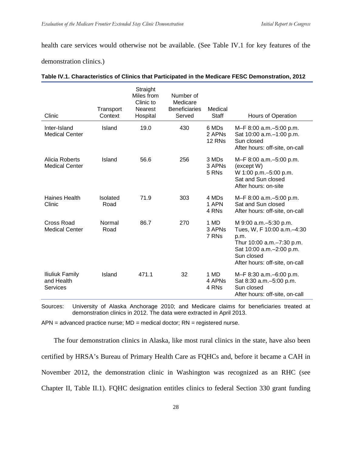health care services would otherwise not be available. (See Table IV.1 for key features of the

demonstration clinics.)

| Clinic                                           | Transport<br>Context | Straight<br>Miles from<br>Clinic to<br><b>Nearest</b><br>Hospital | Number of<br>Medicare<br><b>Beneficiaries</b><br>Served | Medical<br><b>Staff</b>               | Hours of Operation                                                                                                                                                       |
|--------------------------------------------------|----------------------|-------------------------------------------------------------------|---------------------------------------------------------|---------------------------------------|--------------------------------------------------------------------------------------------------------------------------------------------------------------------------|
| Inter-Island<br><b>Medical Center</b>            | Island               | 19.0                                                              | 430                                                     | 6 MDs<br>2 APN <sub>s</sub><br>12 RNs | M-F 8:00 a.m.-5:00 p.m.<br>Sat 10:00 a.m. - 1:00 p.m.<br>Sun closed<br>After hours: off-site, on-call                                                                    |
| Alicia Roberts<br><b>Medical Center</b>          | Island               | 56.6                                                              | 256                                                     | 3 MDs<br>3 APN <sub>S</sub><br>5 RNs  | M-F 8:00 a.m. - 5:00 p.m.<br>(except W)<br>W 1:00 p.m. - 5:00 p.m.<br>Sat and Sun closed<br>After hours: on-site                                                         |
| Haines Health<br>Clinic                          | Isolated<br>Road     | 71.9                                                              | 303                                                     | 4 MDs<br>1 APN<br>4 RNs               | M-F 8:00 a.m.-5:00 p.m.<br>Sat and Sun closed<br>After hours: off-site, on-call                                                                                          |
| <b>Cross Road</b><br><b>Medical Center</b>       | Normal<br>Road       | 86.7                                                              | 270                                                     | 1 MD<br>3 APN <sub>S</sub><br>7 RNs   | M 9:00 a.m. - 5:30 p.m.<br>Tues, W, F 10:00 a.m.-4:30<br>p.m.<br>Thur 10:00 a.m.–7:30 p.m.<br>Sat 10:00 a.m. - 2:00 p.m.<br>Sun closed<br>After hours: off-site, on-call |
| Iliuliuk Family<br>and Health<br><b>Services</b> | Island               | 471.1                                                             | 32                                                      | 1 MD<br>4 APNs<br>4 RNs               | M-F 8:30 a.m.-6:00 p.m.<br>Sat 8:30 a.m. - 5:00 p.m.<br>Sun closed<br>After hours: off-site, on-call                                                                     |

Sources: University of Alaska Anchorage 2010; and Medicare claims for beneficiaries treated at demonstration clinics in 2012. The data were extracted in April 2013.

 $APN =$  advanced practice nurse;  $MD =$  medical doctor;  $RN =$  registered nurse.

The four demonstration clinics in Alaska, like most rural clinics in the state, have also been certified by HRSA's Bureau of Primary Health Care as FQHCs and, before it became a CAH in November 2012, the demonstration clinic in Washington was recognized as an RHC (see Chapter II, Table II.1). FQHC designation entitles clinics to federal Section 330 grant funding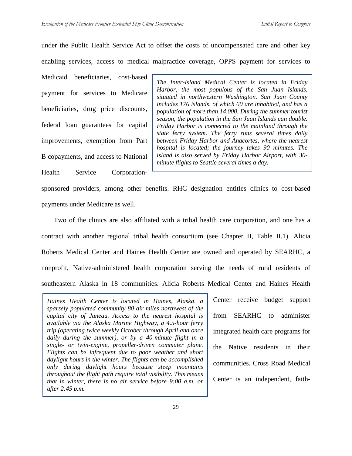under the Public Health Service Act to offset the costs of uncompensated care and other key enabling services, access to medical malpractice coverage, OPPS payment for services to

Medicaid beneficiaries, cost-based payment for services to Medicare beneficiaries, drug price discounts, federal loan guarantees for capital improvements, exemption from Part B copayments, and access to National Health Service Corporation-

*The Inter-Island Medical Center is located in Friday Harbor, the most populous of the San Juan Islands, situated in northwestern Washington. San Juan County includes 176 islands, of which 60 are inhabited, and has a population of more than 14,000. During the summer tourist season, the population in the San Juan Islands can double. Friday Harbor is connected to the mainland through the state ferry system. The ferry runs several times daily between Friday Harbor and Anacortes, where the nearest hospital is located; the journey takes 90 minutes. The island is also served by Friday Harbor Airport, with 30 minute flights to Seattle several times a day.*

sponsored providers, among other benefits. RHC designation entitles clinics to cost-based payments under Medicare as well.

Two of the clinics are also affiliated with a tribal health care corporation, and one has a contract with another regional tribal health consortium (see Chapter II, Table II.1). Alicia Roberts Medical Center and Haines Health Center are owned and operated by SEARHC, a nonprofit, Native-administered health corporation serving the needs of rural residents of southeastern Alaska in 18 communities. Alicia Roberts Medical Center and Haines Health

*Haines Health Center is located in Haines, Alaska, a sparsely populated community 80 air miles northwest of the capital city of Juneau. Access to the nearest hospital is available via the Alaska Marine Highway, a 4.5-hour ferry trip (operating twice weekly October through April and once daily during the summer), or by a 40-minute flight in a single- or twin-engine, propeller-driven commuter plane. Flights can be infrequent due to poor weather and short daylight hours in the winter. The flights can be accomplished only during daylight hours because steep mountains throughout the flight path require total visibility. This means that in winter, there is no air service before 9:00 a.m. or after 2:45 p.m.*

Center receive budget support from SEARHC to administer integrated health care programs for the Native residents in their communities. Cross Road Medical Center is an independent, faith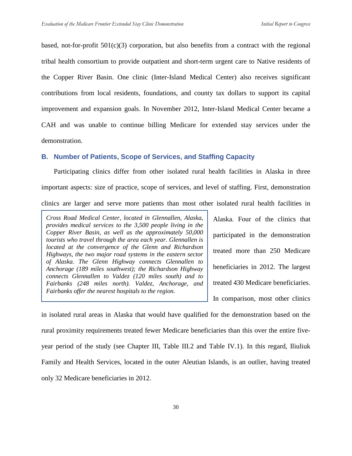based, not-for-profit  $501(c)(3)$  corporation, but also benefits from a contract with the regional tribal health consortium to provide outpatient and short-term urgent care to Native residents of the Copper River Basin. One clinic (Inter-Island Medical Center) also receives significant contributions from local residents, foundations, and county tax dollars to support its capital improvement and expansion goals. In November 2012, Inter-Island Medical Center became a CAH and was unable to continue billing Medicare for extended stay services under the demonstration.

## **B. Number of Patients, Scope of Services, and Staffing Capacity**

Participating clinics differ from other isolated rural health facilities in Alaska in three important aspects: size of practice, scope of services, and level of staffing. First, demonstration clinics are larger and serve more patients than most other isolated rural health facilities in

*Cross Road Medical Center, located in Glennallen, Alaska, provides medical services to the 3,500 people living in the Copper River Basin, as well as the approximately 50,000 tourists who travel through the area each year. Glennallen is located at the convergence of the Glenn and Richardson Highways, the two major road systems in the eastern sector of Alaska. The Glenn Highway connects Glennallen to Anchorage (189 miles southwest); the Richardson Highway connects Glennallen to Valdez (120 miles south) and to Fairbanks (248 miles north). Valdez, Anchorage, and Fairbanks offer the nearest hospitals to the region.*

Alaska. Four of the clinics that participated in the demonstration treated more than 250 Medicare beneficiaries in 2012. The largest treated 430 Medicare beneficiaries. In comparison, most other clinics

in isolated rural areas in Alaska that would have qualified for the demonstration based on the rural proximity requirements treated fewer Medicare beneficiaries than this over the entire fiveyear period of the study (see Chapter III, Table III.2 and Table IV.1). In this regard, Iliuliuk Family and Health Services, located in the outer Aleutian Islands, is an outlier, having treated only 32 Medicare beneficiaries in 2012.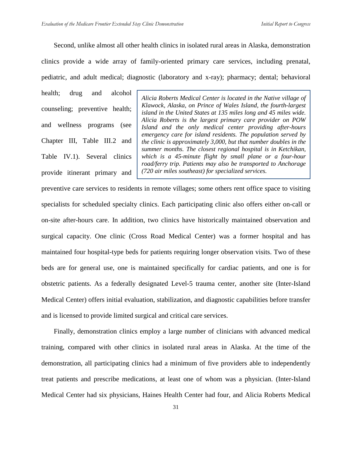Second, unlike almost all other health clinics in isolated rural areas in Alaska, demonstration

clinics provide a wide array of family-oriented primary care services, including prenatal,

pediatric, and adult medical; diagnostic (laboratory and x-ray); pharmacy; dental; behavioral

health; drug and alcohol counseling; preventive health; and wellness programs (see Chapter III, Table III.2 and Table IV.1). Several clinics provide itinerant primary and

*Alicia Roberts Medical Center is located in the Native village of Klawock, Alaska, on Prince of Wales Island, the fourth-largest island in the United States at 135 miles long and 45 miles wide. Alicia Roberts is the largest primary care provider on POW Island and the only medical center providing after-hours emergency care for island residents. The population served by the clinic is approximately 3,000, but that number doubles in the summer months. The closest regional hospital is in Ketchikan, which is a 45-minute flight by small plane or a four-hour road/ferry trip. Patients may also be transported to Anchorage (720 air miles southeast) for specialized services.*

preventive care services to residents in remote villages; some others rent office space to visiting specialists for scheduled specialty clinics. Each participating clinic also offers either on-call or on-site after-hours care. In addition, two clinics have historically maintained observation and surgical capacity. One clinic (Cross Road Medical Center) was a former hospital and has maintained four hospital-type beds for patients requiring longer observation visits. Two of these beds are for general use, one is maintained specifically for cardiac patients, and one is for obstetric patients. As a federally designated Level-5 trauma center, another site (Inter-Island Medical Center) offers initial evaluation, stabilization, and diagnostic capabilities before transfer and is licensed to provide limited surgical and critical care services.

Finally, demonstration clinics employ a large number of clinicians with advanced medical training, compared with other clinics in isolated rural areas in Alaska. At the time of the demonstration, all participating clinics had a minimum of five providers able to independently treat patients and prescribe medications, at least one of whom was a physician. (Inter-Island Medical Center had six physicians, Haines Health Center had four, and Alicia Roberts Medical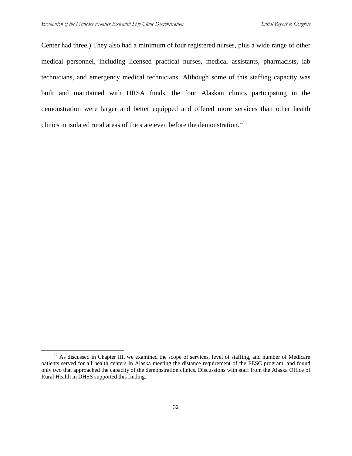Center had three.) They also had a minimum of four registered nurses, plus a wide range of other medical personnel, including licensed practical nurses, medical assistants, pharmacists, lab technicians, and emergency medical technicians. Although some of this staffing capacity was built and maintained with HRSA funds, the four Alaskan clinics participating in the demonstration were larger and better equipped and offered more services than other health clinics in isolated rural areas of the state even before the demonstration.<sup>[17](#page-47-0)</sup>

<span id="page-47-0"></span><sup>&</sup>lt;sup>17</sup> As discussed in Chapter III, we examined the scope of services, level of staffing, and number of Medicare patients served for all health centers in Alaska meeting the distance requirement of the FESC program, and found only two that approached the capacity of the demonstration clinics. Discussions with staff from the Alaska Office of Rural Health in DHSS supported this finding.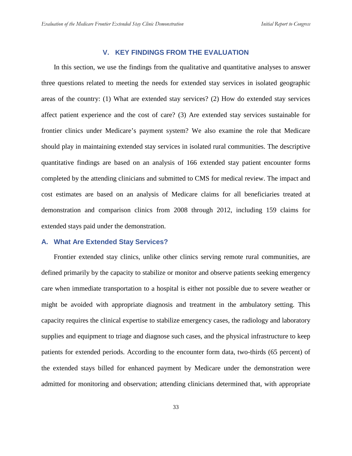## **V. KEY FINDINGS FROM THE EVALUATION**

In this section, we use the findings from the qualitative and quantitative analyses to answer three questions related to meeting the needs for extended stay services in isolated geographic areas of the country: (1) What are extended stay services? (2) How do extended stay services affect patient experience and the cost of care? (3) Are extended stay services sustainable for frontier clinics under Medicare's payment system? We also examine the role that Medicare should play in maintaining extended stay services in isolated rural communities. The descriptive quantitative findings are based on an analysis of 166 extended stay patient encounter forms completed by the attending clinicians and submitted to CMS for medical review. The impact and cost estimates are based on an analysis of Medicare claims for all beneficiaries treated at demonstration and comparison clinics from 2008 through 2012, including 159 claims for extended stays paid under the demonstration.

#### **A. What Are Extended Stay Services?**

Frontier extended stay clinics, unlike other clinics serving remote rural communities, are defined primarily by the capacity to stabilize or monitor and observe patients seeking emergency care when immediate transportation to a hospital is either not possible due to severe weather or might be avoided with appropriate diagnosis and treatment in the ambulatory setting. This capacity requires the clinical expertise to stabilize emergency cases, the radiology and laboratory supplies and equipment to triage and diagnose such cases, and the physical infrastructure to keep patients for extended periods. According to the encounter form data, two-thirds (65 percent) of the extended stays billed for enhanced payment by Medicare under the demonstration were admitted for monitoring and observation; attending clinicians determined that, with appropriate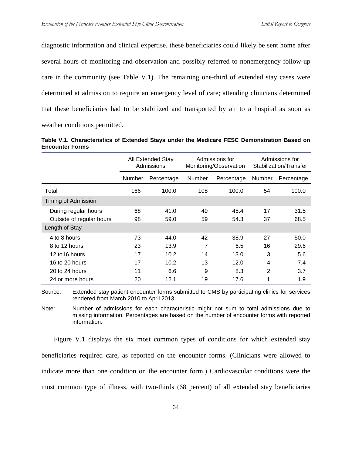diagnostic information and clinical expertise, these beneficiaries could likely be sent home after several hours of monitoring and observation and possibly referred to nonemergency follow-up care in the community (see Table V.1). The remaining one-third of extended stay cases were determined at admission to require an emergency level of care; attending clinicians determined that these beneficiaries had to be stabilized and transported by air to a hospital as soon as weather conditions permitted.

|                        | Table V.1. Characteristics of Extended Stays under the Medicare FESC Demonstration Based on |  |  |  |  |
|------------------------|---------------------------------------------------------------------------------------------|--|--|--|--|
| <b>Encounter Forms</b> |                                                                                             |  |  |  |  |

|                          | All Extended Stay<br>Admissions |            | Admissions for<br>Monitoring/Observation |            | Admissions for<br>Stabilization/Transfer |            |
|--------------------------|---------------------------------|------------|------------------------------------------|------------|------------------------------------------|------------|
|                          | Number                          | Percentage | Number                                   | Percentage | Number                                   | Percentage |
| Total                    | 166                             | 100.0      | 108                                      | 100.0      | 54                                       | 100.0      |
| Timing of Admission      |                                 |            |                                          |            |                                          |            |
| During regular hours     | 68                              | 41.0       | 49                                       | 45.4       | 17                                       | 31.5       |
| Outside of regular hours | 98                              | 59.0       | 59                                       | 54.3       | 37                                       | 68.5       |
| Length of Stay           |                                 |            |                                          |            |                                          |            |
| 4 to 8 hours             | 73                              | 44.0       | 42                                       | 38.9       | 27                                       | 50.0       |
| 8 to 12 hours            | 23                              | 13.9       | 7                                        | 6.5        | 16                                       | 29.6       |
| 12 to 16 hours           | 17                              | 10.2       | 14                                       | 13.0       | 3                                        | 5.6        |
| 16 to 20 hours           | 17                              | 10.2       | 13                                       | 12.0       | 4                                        | 7.4        |
| 20 to 24 hours           | 11                              | 6.6        | 9                                        | 8.3        | 2                                        | 3.7        |
| 24 or more hours         | 20                              | 12.1       | 19                                       | 17.6       | 1                                        | 1.9        |

Source: Extended stay patient encounter forms submitted to CMS by participating clinics for services rendered from March 2010 to April 2013.

Note: Number of admissions for each characteristic might not sum to total admissions due to missing information. Percentages are based on the number of encounter forms with reported information.

Figure V.1 displays the six most common types of conditions for which extended stay beneficiaries required care, as reported on the encounter forms. (Clinicians were allowed to indicate more than one condition on the encounter form.) Cardiovascular conditions were the most common type of illness, with two-thirds (68 percent) of all extended stay beneficiaries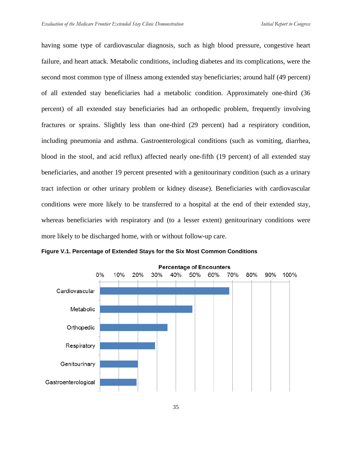having some type of cardiovascular diagnosis, such as high blood pressure, congestive heart failure, and heart attack. Metabolic conditions, including diabetes and its complications, were the second most common type of illness among extended stay beneficiaries; around half (49 percent) of all extended stay beneficiaries had a metabolic condition. Approximately one-third (36 percent) of all extended stay beneficiaries had an orthopedic problem, frequently involving fractures or sprains. Slightly less than one-third (29 percent) had a respiratory condition, including pneumonia and asthma. Gastroenterological conditions (such as vomiting, diarrhea, blood in the stool, and acid reflux) affected nearly one-fifth (19 percent) of all extended stay beneficiaries, and another 19 percent presented with a genitourinary condition (such as a urinary tract infection or other urinary problem or kidney disease). Beneficiaries with cardiovascular conditions were more likely to be transferred to a hospital at the end of their extended stay, whereas beneficiaries with respiratory and (to a lesser extent) genitourinary conditions were more likely to be discharged home, with or without follow-up care.



**Figure V.1. Percentage of Extended Stays for the Six Most Common Conditions**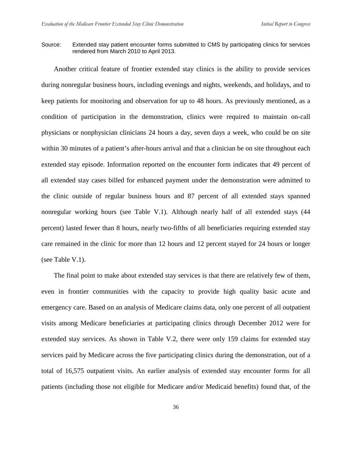Source: Extended stay patient encounter forms submitted to CMS by participating clinics for services rendered from March 2010 to April 2013.

Another critical feature of frontier extended stay clinics is the ability to provide services during nonregular business hours, including evenings and nights, weekends, and holidays, and to keep patients for monitoring and observation for up to 48 hours. As previously mentioned, as a condition of participation in the demonstration, clinics were required to maintain on-call physicians or nonphysician clinicians 24 hours a day, seven days a week, who could be on site within 30 minutes of a patient's after-hours arrival and that a clinician be on site throughout each extended stay episode. Information reported on the encounter form indicates that 49 percent of all extended stay cases billed for enhanced payment under the demonstration were admitted to the clinic outside of regular business hours and 87 percent of all extended stays spanned nonregular working hours (see Table V.1). Although nearly half of all extended stays (44 percent) lasted fewer than 8 hours, nearly two-fifths of all beneficiaries requiring extended stay care remained in the clinic for more than 12 hours and 12 percent stayed for 24 hours or longer (see Table V.1).

The final point to make about extended stay services is that there are relatively few of them, even in frontier communities with the capacity to provide high quality basic acute and emergency care. Based on an analysis of Medicare claims data, only one percent of all outpatient visits among Medicare beneficiaries at participating clinics through December 2012 were for extended stay services. As shown in Table V.2, there were only 159 claims for extended stay services paid by Medicare across the five participating clinics during the demonstration, out of a total of 16,575 outpatient visits. An earlier analysis of extended stay encounter forms for all patients (including those not eligible for Medicare and/or Medicaid benefits) found that, of the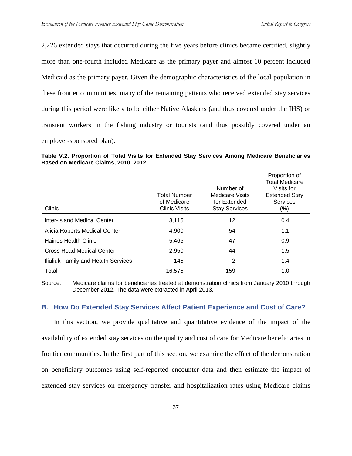2,226 extended stays that occurred during the five years before clinics became certified, slightly more than one-fourth included Medicare as the primary payer and almost 10 percent included Medicaid as the primary payer. Given the demographic characteristics of the local population in these frontier communities, many of the remaining patients who received extended stay services during this period were likely to be either Native Alaskans (and thus covered under the IHS) or transient workers in the fishing industry or tourists (and thus possibly covered under an employer-sponsored plan).

**Table V.2. Proportion of Total Visits for Extended Stay Services Among Medicare Beneficiaries Based on Medicare Claims, 2010–2012**

| Clinic                              | <b>Total Number</b><br>of Medicare<br><b>Clinic Visits</b> | Number of<br><b>Medicare Visits</b><br>for Extended<br><b>Stay Services</b> | Proportion of<br><b>Total Medicare</b><br>Visits for<br><b>Extended Stay</b><br>Services<br>$(\%)$ |
|-------------------------------------|------------------------------------------------------------|-----------------------------------------------------------------------------|----------------------------------------------------------------------------------------------------|
| Inter-Island Medical Center         | 3,115                                                      | 12                                                                          | 0.4                                                                                                |
| Alicia Roberts Medical Center       | 4,900                                                      | 54                                                                          | 1.1                                                                                                |
| Haines Health Clinic                | 5,465                                                      | 47                                                                          | 0.9                                                                                                |
| Cross Road Medical Center           | 2,950                                                      | 44                                                                          | 1.5                                                                                                |
| Iliuliuk Family and Health Services | 145                                                        | 2                                                                           | 1.4                                                                                                |
| Total                               | 16,575                                                     | 159                                                                         | 1.0                                                                                                |

Source: Medicare claims for beneficiaries treated at demonstration clinics from January 2010 through December 2012. The data were extracted in April 2013.

## **B. How Do Extended Stay Services Affect Patient Experience and Cost of Care?**

In this section, we provide qualitative and quantitative evidence of the impact of the availability of extended stay services on the quality and cost of care for Medicare beneficiaries in frontier communities. In the first part of this section, we examine the effect of the demonstration on beneficiary outcomes using self-reported encounter data and then estimate the impact of extended stay services on emergency transfer and hospitalization rates using Medicare claims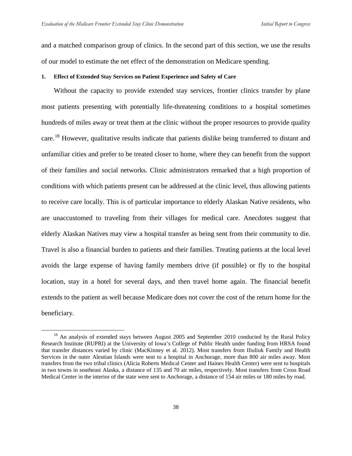and a matched comparison group of clinics. In the second part of this section, we use the results of our model to estimate the net effect of the demonstration on Medicare spending.

#### **1. Effect of Extended Stay Services on Patient Experience and Safety of Care**

Without the capacity to provide extended stay services, frontier clinics transfer by plane most patients presenting with potentially life-threatening conditions to a hospital sometimes hundreds of miles away or treat them at the clinic without the proper resources to provide quality care.<sup>[18](#page-53-0)</sup> However, qualitative results indicate that patients dislike being transferred to distant and unfamiliar cities and prefer to be treated closer to home, where they can benefit from the support of their families and social networks. Clinic administrators remarked that a high proportion of conditions with which patients present can be addressed at the clinic level, thus allowing patients to receive care locally. This is of particular importance to elderly Alaskan Native residents, who are unaccustomed to traveling from their villages for medical care. Anecdotes suggest that elderly Alaskan Natives may view a hospital transfer as being sent from their community to die. Travel is also a financial burden to patients and their families. Treating patients at the local level avoids the large expense of having family members drive (if possible) or fly to the hospital location, stay in a hotel for several days, and then travel home again. The financial benefit extends to the patient as well because Medicare does not cover the cost of the return home for the beneficiary.

<span id="page-53-0"></span><sup>&</sup>lt;sup>18</sup> An analysis of extended stays between August 2005 and September 2010 conducted by the Rural Policy Research Institute (RUPRI) at the University of Iowa's College of Public Health under funding from HRSA found that transfer distances varied by clinic (MacKinney et al. 2012). Most transfers from Iliuliuk Family and Health Services in the outer Aleutian Islands were sent to a hospital in Anchorage, more than 800 air miles away. Most transfers from the two tribal clinics (Alicia Roberts Medical Center and Haines Health Center) were sent to hospitals in two towns in southeast Alaska, a distance of 135 and 70 air miles, respectively. Most transfers from Cross Road Medical Center in the interior of the state were sent to Anchorage, a distance of 154 air miles or 180 miles by road.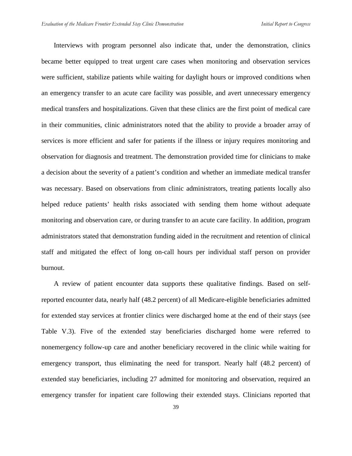Interviews with program personnel also indicate that, under the demonstration, clinics became better equipped to treat urgent care cases when monitoring and observation services were sufficient, stabilize patients while waiting for daylight hours or improved conditions when an emergency transfer to an acute care facility was possible, and avert unnecessary emergency medical transfers and hospitalizations. Given that these clinics are the first point of medical care in their communities, clinic administrators noted that the ability to provide a broader array of services is more efficient and safer for patients if the illness or injury requires monitoring and observation for diagnosis and treatment. The demonstration provided time for clinicians to make a decision about the severity of a patient's condition and whether an immediate medical transfer was necessary. Based on observations from clinic administrators, treating patients locally also helped reduce patients' health risks associated with sending them home without adequate monitoring and observation care, or during transfer to an acute care facility. In addition, program administrators stated that demonstration funding aided in the recruitment and retention of clinical staff and mitigated the effect of long on-call hours per individual staff person on provider burnout.

A review of patient encounter data supports these qualitative findings. Based on selfreported encounter data, nearly half (48.2 percent) of all Medicare-eligible beneficiaries admitted for extended stay services at frontier clinics were discharged home at the end of their stays (see Table V.3). Five of the extended stay beneficiaries discharged home were referred to nonemergency follow-up care and another beneficiary recovered in the clinic while waiting for emergency transport, thus eliminating the need for transport. Nearly half (48.2 percent) of extended stay beneficiaries, including 27 admitted for monitoring and observation, required an emergency transfer for inpatient care following their extended stays. Clinicians reported that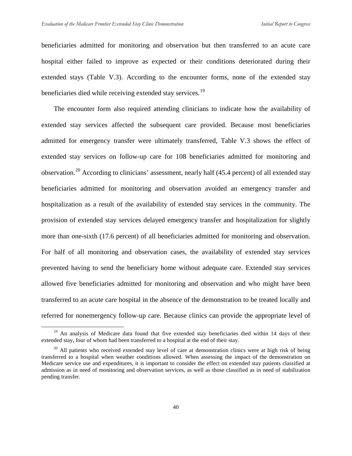beneficiaries admitted for monitoring and observation but then transferred to an acute care hospital either failed to improve as expected or their conditions deteriorated during their extended stays (Table V.3). According to the encounter forms, none of the extended stay beneficiaries died while receiving extended stay services.<sup>[19](#page-55-0)</sup>

The encounter form also required attending clinicians to indicate how the availability of extended stay services affected the subsequent care provided. Because most beneficiaries admitted for emergency transfer were ultimately transferred, Table V.3 shows the effect of extended stay services on follow-up care for 108 beneficiaries admitted for monitoring and observation.[20](#page-55-1) According to clinicians' assessment, nearly half (45.4 percent) of all extended stay beneficiaries admitted for monitoring and observation avoided an emergency transfer and hospitalization as a result of the availability of extended stay services in the community. The provision of extended stay services delayed emergency transfer and hospitalization for slightly more than one-sixth (17.6 percent) of all beneficiaries admitted for monitoring and observation. For half of all monitoring and observation cases, the availability of extended stay services prevented having to send the beneficiary home without adequate care. Extended stay services allowed five beneficiaries admitted for monitoring and observation and who might have been transferred to an acute care hospital in the absence of the demonstration to be treated locally and referred for nonemergency follow-up care. Because clinics can provide the appropriate level of

<span id="page-55-0"></span> $19$  An analysis of Medicare data found that five extended stay beneficiaries died within 14 days of their extended stay, four of whom had been transferred to a hospital at the end of their stay.

<span id="page-55-1"></span> $20$  All patients who received extended stay level of care at demonstration clinics were at high risk of being transferred to a hospital when weather conditions allowed. When assessing the impact of the demonstration on Medicare service use and expenditures, it is important to consider the effect on extended stay patients classified at admission as in need of monitoring and observation services, as well as those classified as in need of stabilization pending transfer.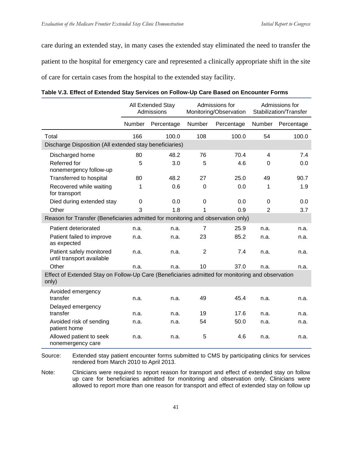care during an extended stay, in many cases the extended stay eliminated the need to transfer the patient to the hospital for emergency care and represented a clinically appropriate shift in the site of care for certain cases from the hospital to the extended stay facility.

|                                                                                                           | All Extended Stay<br>Admissions |            | Admissions for<br>Monitoring/Observation |            | Admissions for<br>Stabilization/Transfer |            |
|-----------------------------------------------------------------------------------------------------------|---------------------------------|------------|------------------------------------------|------------|------------------------------------------|------------|
|                                                                                                           | Number                          | Percentage | Number                                   | Percentage | Number                                   | Percentage |
| Total                                                                                                     | 166                             | 100.0      | 108                                      | 100.0      | 54                                       | 100.0      |
| Discharge Disposition (All extended stay beneficiaries)                                                   |                                 |            |                                          |            |                                          |            |
| Discharged home                                                                                           | 80                              | 48.2       | 76                                       | 70.4       | $\overline{4}$                           | 7.4        |
| Referred for<br>nonemergency follow-up                                                                    | 5                               | 3.0        | 5                                        | 4.6        | 0                                        | 0.0        |
| Transferred to hospital                                                                                   | 80                              | 48.2       | 27                                       | 25.0       | 49                                       | 90.7       |
| Recovered while waiting<br>for transport                                                                  | 1                               | 0.6        | $\Omega$                                 | 0.0        | 1                                        | 1.9        |
| Died during extended stay                                                                                 | $\Omega$                        | 0.0        | $\overline{0}$                           | 0.0        | $\Omega$                                 | 0.0        |
| Other                                                                                                     | 3                               | 1.8        | 1                                        | 0.9        | $\overline{2}$                           | 3.7        |
| Reason for Transfer (Beneficiaries admitted for monitoring and observation only)                          |                                 |            |                                          |            |                                          |            |
| Patient deteriorated                                                                                      | n.a.                            | n.a.       | $\overline{7}$                           | 25.9       | n.a.                                     | n.a.       |
| Patient failed to improve<br>as expected                                                                  | n.a.                            | n.a.       | 23                                       | 85.2       | n.a.                                     | n.a.       |
| Patient safely monitored<br>until transport available                                                     | n.a.                            | n.a.       | $\overline{2}$                           | 7.4        | n.a.                                     | n.a.       |
| Other                                                                                                     | n.a.                            | n.a.       | 10                                       | 37.0       | n.a.                                     | n.a.       |
| Effect of Extended Stay on Follow-Up Care (Beneficiaries admitted for monitoring and observation<br>only) |                                 |            |                                          |            |                                          |            |
| Avoided emergency<br>transfer                                                                             | n.a.                            | n.a.       | 49                                       | 45.4       | n.a.                                     | n.a.       |
| Delayed emergency<br>transfer                                                                             | n.a.                            | n.a.       | 19                                       | 17.6       | n.a.                                     | n.a.       |
| Avoided risk of sending<br>patient home                                                                   | n.a.                            | n.a.       | 54                                       | 50.0       | n.a.                                     | n.a.       |
| Allowed patient to seek<br>nonemergency care                                                              | n.a.                            | n.a.       | 5                                        | 4.6        | n.a.                                     | n.a.       |

Source: Extended stay patient encounter forms submitted to CMS by participating clinics for services rendered from March 2010 to April 2013.

Note: Clinicians were required to report reason for transport and effect of extended stay on follow up care for beneficiaries admitted for monitoring and observation only. Clinicians were allowed to report more than one reason for transport and effect of extended stay on follow up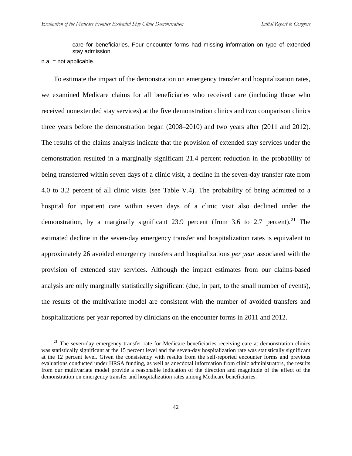care for beneficiaries. Four encounter forms had missing information on type of extended stay admission.

To estimate the impact of the demonstration on emergency transfer and hospitalization rates, we examined Medicare claims for all beneficiaries who received care (including those who received nonextended stay services) at the five demonstration clinics and two comparison clinics three years before the demonstration began (2008–2010) and two years after (2011 and 2012). The results of the claims analysis indicate that the provision of extended stay services under the demonstration resulted in a marginally significant 21.4 percent reduction in the probability of being transferred within seven days of a clinic visit, a decline in the seven-day transfer rate from 4.0 to 3.2 percent of all clinic visits (see Table V.4). The probability of being admitted to a hospital for inpatient care within seven days of a clinic visit also declined under the demonstration, by a marginally significant 23.9 percent (from 3.6 to 2.7 percent).<sup>[21](#page-57-0)</sup> The estimated decline in the seven-day emergency transfer and hospitalization rates is equivalent to approximately 26 avoided emergency transfers and hospitalizations *per year* associated with the provision of extended stay services. Although the impact estimates from our claims-based analysis are only marginally statistically significant (due, in part, to the small number of events), the results of the multivariate model are consistent with the number of avoided transfers and hospitalizations per year reported by clinicians on the encounter forms in 2011 and 2012.

n.a. = not applicable.

<span id="page-57-0"></span><sup>&</sup>lt;sup>21</sup> The seven-day emergency transfer rate for Medicare beneficiaries receiving care at demonstration clinics was statistically significant at the 15 percent level and the seven-day hospitalization rate was statistically significant at the 12 percent level. Given the consistency with results from the self-reported encounter forms and previous evaluations conducted under HRSA funding, as well as anecdotal information from clinic administrators, the results from our multivariate model provide a reasonable indication of the direction and magnitude of the effect of the demonstration on emergency transfer and hospitalization rates among Medicare beneficiaries.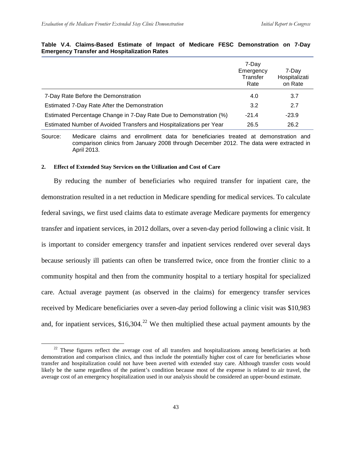|                                                                     | 7-Day<br>Emergency<br>Transfer<br>Rate | 7-Day<br>Hospitalizati<br>on Rate |
|---------------------------------------------------------------------|----------------------------------------|-----------------------------------|
| 7-Day Rate Before the Demonstration                                 | 4.0                                    | 3.7                               |
| Estimated 7-Day Rate After the Demonstration                        | 3.2                                    | 2.7                               |
| Estimated Percentage Change in 7-Day Rate Due to Demonstration (%)  | $-21.4$                                | $-23.9$                           |
| Estimated Number of Avoided Transfers and Hospitalizations per Year | 26.5                                   | 26.2                              |

#### **Table V.4. Claims-Based Estimate of Impact of Medicare FESC Demonstration on 7-Day Emergency Transfer and Hospitalization Rates**

Source: Medicare claims and enrollment data for beneficiaries treated at demonstration and comparison clinics from January 2008 through December 2012. The data were extracted in April 2013.

#### **2. Effect of Extended Stay Services on the Utilization and Cost of Care**

By reducing the number of beneficiaries who required transfer for inpatient care, the demonstration resulted in a net reduction in Medicare spending for medical services. To calculate federal savings, we first used claims data to estimate average Medicare payments for emergency transfer and inpatient services, in 2012 dollars, over a seven-day period following a clinic visit. It is important to consider emergency transfer and inpatient services rendered over several days because seriously ill patients can often be transferred twice, once from the frontier clinic to a community hospital and then from the community hospital to a tertiary hospital for specialized care. Actual average payment (as observed in the claims) for emergency transfer services received by Medicare beneficiaries over a seven-day period following a clinic visit was \$10,983 and, for inpatient services,  $$16,304$ <sup>[22](#page-58-0)</sup> We then multiplied these actual payment amounts by the

<span id="page-58-0"></span><sup>&</sup>lt;sup>22</sup> These figures reflect the average cost of all transfers and hospitalizations among beneficiaries at both demonstration and comparison clinics, and thus include the potentially higher cost of care for beneficiaries whose transfer and hospitalization could not have been averted with extended stay care. Although transfer costs would likely be the same regardless of the patient's condition because most of the expense is related to air travel, the average cost of an emergency hospitalization used in our analysis should be considered an upper-bound estimate.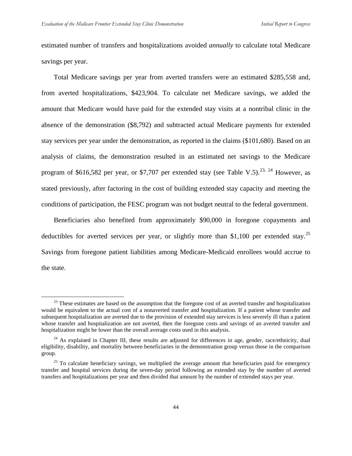estimated number of transfers and hospitalizations avoided *annually* to calculate total Medicare savings per year.

Total Medicare savings per year from averted transfers were an estimated \$285,558 and, from averted hospitalizations, \$423,904. To calculate net Medicare savings, we added the amount that Medicare would have paid for the extended stay visits at a nontribal clinic in the absence of the demonstration (\$8,792) and subtracted actual Medicare payments for extended stay services per year under the demonstration, as reported in the claims (\$101,680). Based on an analysis of claims, the demonstration resulted in an estimated net savings to the Medicare program of \$616,582 per year, or \$7,707 per extended stay (see Table V.5).<sup>[23,](#page-59-0) [24](#page-59-1)</sup> However, as stated previously, after factoring in the cost of building extended stay capacity and meeting the conditions of participation, the FESC program was not budget neutral to the federal government.

Beneficiaries also benefited from approximately \$90,000 in foregone copayments and deductibles for averted services per year, or slightly more than \$1,100 per extended stay.<sup>[25](#page-59-2)</sup> Savings from foregone patient liabilities among Medicare-Medicaid enrollees would accrue to the state.

<span id="page-59-0"></span><sup>&</sup>lt;sup>23</sup> These estimates are based on the assumption that the foregone cost of an averted transfer and hospitalization would be equivalent to the actual cost of a nonaverted transfer and hospitalization. If a patient whose transfer and subsequent hospitalization are averted due to the provision of extended stay services is less severely ill than a patient whose transfer and hospitalization are not averted, then the foregone costs and savings of an averted transfer and hospitalization might be lower than the overall average costs used in this analysis.

<span id="page-59-1"></span> $24$  As explained in Chapter III, these results are adjusted for differences in age, gender, race/ethnicity, dual eligibility, disability, and mortality between beneficiaries in the demonstration group versus those in the comparison group.

<span id="page-59-2"></span><sup>&</sup>lt;sup>25</sup> To calculate beneficiary savings, we multiplied the average amount that beneficiaries paid for emergency transfer and hospital services during the seven-day period following an extended stay by the number of averted transfers and hospitalizations per year and then divided that amount by the number of extended stays per year.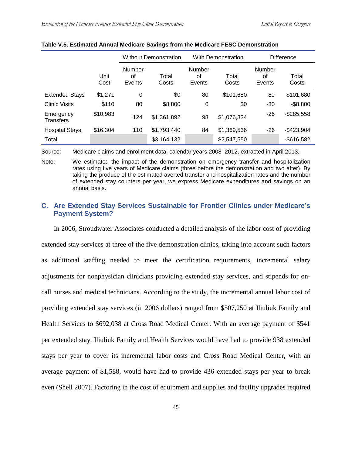|                               |              | <b>Without Demonstration</b> |                | <b>With Demonstration</b>     |                | <b>Difference</b>      |                |
|-------------------------------|--------------|------------------------------|----------------|-------------------------------|----------------|------------------------|----------------|
|                               | Unit<br>Cost | Number<br>of<br>Events       | Total<br>Costs | <b>Number</b><br>0f<br>Events | Total<br>Costs | Number<br>οf<br>Events | Total<br>Costs |
| <b>Extended Stays</b>         | \$1,271      | 0                            | \$0            | 80                            | \$101,680      | 80                     | \$101,680      |
| <b>Clinic Visits</b>          | \$110        | 80                           | \$8,800        | 0                             | \$0            | $-80$                  | $-$ \$8,800    |
| Emergency<br><b>Transfers</b> | \$10,983     | 124                          | \$1,361,892    | 98                            | \$1,076,334    | $-26$                  | $-$285,558$    |
| <b>Hospital Stays</b>         | \$16,304     | 110                          | \$1,793,440    | 84                            | \$1,369,536    | $-26$                  | $-$423,904$    |
| Total                         |              |                              | \$3,164,132    |                               | \$2,547,550    |                        | $-$ \$616,582  |

#### **Table V.5. Estimated Annual Medicare Savings from the Medicare FESC Demonstration**

Source: Medicare claims and enrollment data, calendar years 2008–2012, extracted in April 2013.

Note: We estimated the impact of the demonstration on emergency transfer and hospitalization rates using five years of Medicare claims (three before the demonstration and two after). By taking the produce of the estimated averted transfer and hospitalization rates and the number of extended stay counters per year, we express Medicare expenditures and savings on an annual basis.

## **C. Are Extended Stay Services Sustainable for Frontier Clinics under Medicare's Payment System?**

In 2006, Stroudwater Associates conducted a detailed analysis of the labor cost of providing extended stay services at three of the five demonstration clinics, taking into account such factors as additional staffing needed to meet the certification requirements, incremental salary adjustments for nonphysician clinicians providing extended stay services, and stipends for oncall nurses and medical technicians. According to the study, the incremental annual labor cost of providing extended stay services (in 2006 dollars) ranged from \$507,250 at Iliuliuk Family and Health Services to \$692,038 at Cross Road Medical Center. With an average payment of \$541 per extended stay, Iliuliuk Family and Health Services would have had to provide 938 extended stays per year to cover its incremental labor costs and Cross Road Medical Center, with an average payment of \$1,588, would have had to provide 436 extended stays per year to break even (Shell 2007). Factoring in the cost of equipment and supplies and facility upgrades required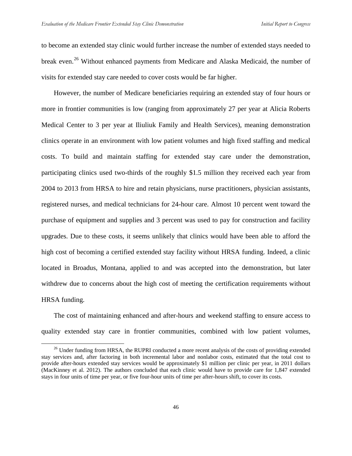to become an extended stay clinic would further increase the number of extended stays needed to break even.<sup>[26](#page-61-0)</sup> Without enhanced payments from Medicare and Alaska Medicaid, the number of visits for extended stay care needed to cover costs would be far higher.

However, the number of Medicare beneficiaries requiring an extended stay of four hours or more in frontier communities is low (ranging from approximately 27 per year at Alicia Roberts Medical Center to 3 per year at Iliuliuk Family and Health Services), meaning demonstration clinics operate in an environment with low patient volumes and high fixed staffing and medical costs. To build and maintain staffing for extended stay care under the demonstration, participating clinics used two-thirds of the roughly \$1.5 million they received each year from 2004 to 2013 from HRSA to hire and retain physicians, nurse practitioners, physician assistants, registered nurses, and medical technicians for 24-hour care. Almost 10 percent went toward the purchase of equipment and supplies and 3 percent was used to pay for construction and facility upgrades. Due to these costs, it seems unlikely that clinics would have been able to afford the high cost of becoming a certified extended stay facility without HRSA funding. Indeed, a clinic located in Broadus, Montana, applied to and was accepted into the demonstration, but later withdrew due to concerns about the high cost of meeting the certification requirements without HRSA funding.

The cost of maintaining enhanced and after-hours and weekend staffing to ensure access to quality extended stay care in frontier communities, combined with low patient volumes,

<span id="page-61-0"></span> $26$  Under funding from HRSA, the RUPRI conducted a more recent analysis of the costs of providing extended stay services and, after factoring in both incremental labor and nonlabor costs, estimated that the total cost to provide after-hours extended stay services would be approximately \$1 million per clinic per year, in 2011 dollars (MacKinney et al. 2012). The authors concluded that each clinic would have to provide care for 1,847 extended stays in four units of time per year, or five four-hour units of time per after-hours shift, to cover its costs.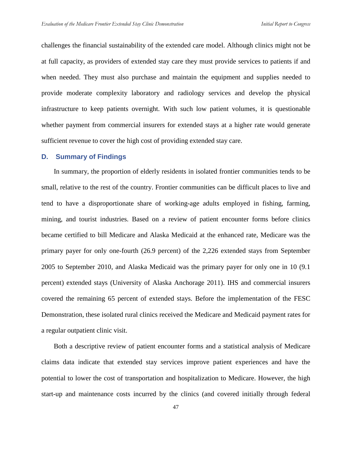challenges the financial sustainability of the extended care model. Although clinics might not be at full capacity, as providers of extended stay care they must provide services to patients if and when needed. They must also purchase and maintain the equipment and supplies needed to provide moderate complexity laboratory and radiology services and develop the physical infrastructure to keep patients overnight. With such low patient volumes, it is questionable whether payment from commercial insurers for extended stays at a higher rate would generate sufficient revenue to cover the high cost of providing extended stay care.

#### **D. Summary of Findings**

In summary, the proportion of elderly residents in isolated frontier communities tends to be small, relative to the rest of the country. Frontier communities can be difficult places to live and tend to have a disproportionate share of working-age adults employed in fishing, farming, mining, and tourist industries. Based on a review of patient encounter forms before clinics became certified to bill Medicare and Alaska Medicaid at the enhanced rate, Medicare was the primary payer for only one-fourth (26.9 percent) of the 2,226 extended stays from September 2005 to September 2010, and Alaska Medicaid was the primary payer for only one in 10 (9.1 percent) extended stays (University of Alaska Anchorage 2011). IHS and commercial insurers covered the remaining 65 percent of extended stays. Before the implementation of the FESC Demonstration, these isolated rural clinics received the Medicare and Medicaid payment rates for a regular outpatient clinic visit.

Both a descriptive review of patient encounter forms and a statistical analysis of Medicare claims data indicate that extended stay services improve patient experiences and have the potential to lower the cost of transportation and hospitalization to Medicare. However, the high start-up and maintenance costs incurred by the clinics (and covered initially through federal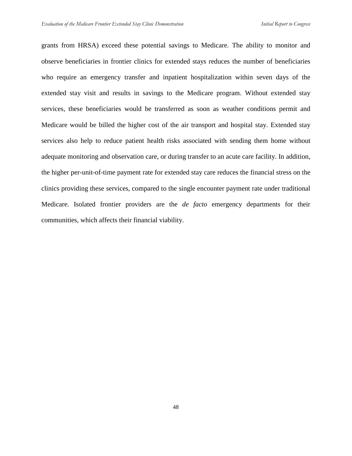grants from HRSA) exceed these potential savings to Medicare. The ability to monitor and observe beneficiaries in frontier clinics for extended stays reduces the number of beneficiaries who require an emergency transfer and inpatient hospitalization within seven days of the extended stay visit and results in savings to the Medicare program. Without extended stay services, these beneficiaries would be transferred as soon as weather conditions permit and Medicare would be billed the higher cost of the air transport and hospital stay. Extended stay services also help to reduce patient health risks associated with sending them home without adequate monitoring and observation care, or during transfer to an acute care facility. In addition, the higher per-unit-of-time payment rate for extended stay care reduces the financial stress on the clinics providing these services, compared to the single encounter payment rate under traditional Medicare. Isolated frontier providers are the *de facto* emergency departments for their communities, which affects their financial viability.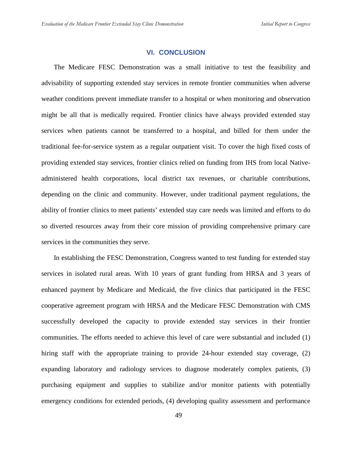#### **VI. CONCLUSION**

The Medicare FESC Demonstration was a small initiative to test the feasibility and advisability of supporting extended stay services in remote frontier communities when adverse weather conditions prevent immediate transfer to a hospital or when monitoring and observation might be all that is medically required. Frontier clinics have always provided extended stay services when patients cannot be transferred to a hospital, and billed for them under the traditional fee-for-service system as a regular outpatient visit. To cover the high fixed costs of providing extended stay services, frontier clinics relied on funding from IHS from local Nativeadministered health corporations, local district tax revenues, or charitable contributions, depending on the clinic and community. However, under traditional payment regulations, the ability of frontier clinics to meet patients' extended stay care needs was limited and efforts to do so diverted resources away from their core mission of providing comprehensive primary care services in the communities they serve.

In establishing the FESC Demonstration, Congress wanted to test funding for extended stay services in isolated rural areas. With 10 years of grant funding from HRSA and 3 years of enhanced payment by Medicare and Medicaid, the five clinics that participated in the FESC cooperative agreement program with HRSA and the Medicare FESC Demonstration with CMS successfully developed the capacity to provide extended stay services in their frontier communities. The efforts needed to achieve this level of care were substantial and included (1) hiring staff with the appropriate training to provide 24-hour extended stay coverage, (2) expanding laboratory and radiology services to diagnose moderately complex patients, (3) purchasing equipment and supplies to stabilize and/or monitor patients with potentially emergency conditions for extended periods, (4) developing quality assessment and performance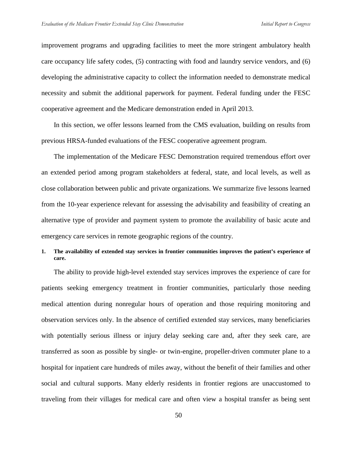improvement programs and upgrading facilities to meet the more stringent ambulatory health care occupancy life safety codes, (5) contracting with food and laundry service vendors, and (6) developing the administrative capacity to collect the information needed to demonstrate medical necessity and submit the additional paperwork for payment. Federal funding under the FESC cooperative agreement and the Medicare demonstration ended in April 2013.

In this section, we offer lessons learned from the CMS evaluation, building on results from previous HRSA-funded evaluations of the FESC cooperative agreement program.

The implementation of the Medicare FESC Demonstration required tremendous effort over an extended period among program stakeholders at federal, state, and local levels, as well as close collaboration between public and private organizations. We summarize five lessons learned from the 10-year experience relevant for assessing the advisability and feasibility of creating an alternative type of provider and payment system to promote the availability of basic acute and emergency care services in remote geographic regions of the country.

## **1. The availability of extended stay services in frontier communities improves the patient's experience of care.**

The ability to provide high-level extended stay services improves the experience of care for patients seeking emergency treatment in frontier communities, particularly those needing medical attention during nonregular hours of operation and those requiring monitoring and observation services only. In the absence of certified extended stay services, many beneficiaries with potentially serious illness or injury delay seeking care and, after they seek care, are transferred as soon as possible by single- or twin-engine, propeller-driven commuter plane to a hospital for inpatient care hundreds of miles away, without the benefit of their families and other social and cultural supports. Many elderly residents in frontier regions are unaccustomed to traveling from their villages for medical care and often view a hospital transfer as being sent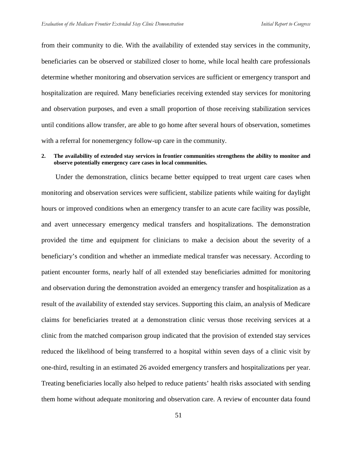from their community to die. With the availability of extended stay services in the community, beneficiaries can be observed or stabilized closer to home, while local health care professionals determine whether monitoring and observation services are sufficient or emergency transport and hospitalization are required. Many beneficiaries receiving extended stay services for monitoring and observation purposes, and even a small proportion of those receiving stabilization services until conditions allow transfer, are able to go home after several hours of observation, sometimes with a referral for nonemergency follow-up care in the community.

#### **2. The availability of extended stay services in frontier communities strengthens the ability to monitor and observe potentially emergency care cases in local communities.**

Under the demonstration, clinics became better equipped to treat urgent care cases when monitoring and observation services were sufficient, stabilize patients while waiting for daylight hours or improved conditions when an emergency transfer to an acute care facility was possible, and avert unnecessary emergency medical transfers and hospitalizations. The demonstration provided the time and equipment for clinicians to make a decision about the severity of a beneficiary's condition and whether an immediate medical transfer was necessary. According to patient encounter forms, nearly half of all extended stay beneficiaries admitted for monitoring and observation during the demonstration avoided an emergency transfer and hospitalization as a result of the availability of extended stay services. Supporting this claim, an analysis of Medicare claims for beneficiaries treated at a demonstration clinic versus those receiving services at a clinic from the matched comparison group indicated that the provision of extended stay services reduced the likelihood of being transferred to a hospital within seven days of a clinic visit by one-third, resulting in an estimated 26 avoided emergency transfers and hospitalizations per year. Treating beneficiaries locally also helped to reduce patients' health risks associated with sending them home without adequate monitoring and observation care. A review of encounter data found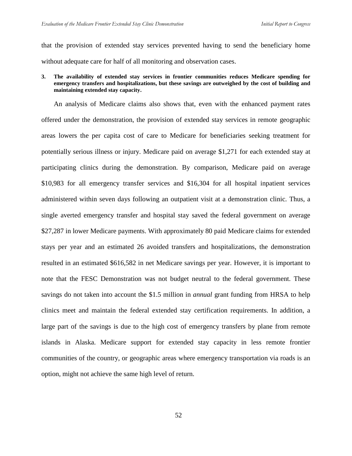that the provision of extended stay services prevented having to send the beneficiary home without adequate care for half of all monitoring and observation cases.

#### **3. The availability of extended stay services in frontier communities reduces Medicare spending for emergency transfers and hospitalizations, but these savings are outweighed by the cost of building and maintaining extended stay capacity.**

An analysis of Medicare claims also shows that, even with the enhanced payment rates offered under the demonstration, the provision of extended stay services in remote geographic areas lowers the per capita cost of care to Medicare for beneficiaries seeking treatment for potentially serious illness or injury. Medicare paid on average \$1,271 for each extended stay at participating clinics during the demonstration. By comparison, Medicare paid on average \$10,983 for all emergency transfer services and \$16,304 for all hospital inpatient services administered within seven days following an outpatient visit at a demonstration clinic. Thus, a single averted emergency transfer and hospital stay saved the federal government on average \$27,287 in lower Medicare payments. With approximately 80 paid Medicare claims for extended stays per year and an estimated 26 avoided transfers and hospitalizations, the demonstration resulted in an estimated \$616,582 in net Medicare savings per year. However, it is important to note that the FESC Demonstration was not budget neutral to the federal government. These savings do not taken into account the \$1.5 million in *annual* grant funding from HRSA to help clinics meet and maintain the federal extended stay certification requirements. In addition, a large part of the savings is due to the high cost of emergency transfers by plane from remote islands in Alaska. Medicare support for extended stay capacity in less remote frontier communities of the country, or geographic areas where emergency transportation via roads is an option, might not achieve the same high level of return.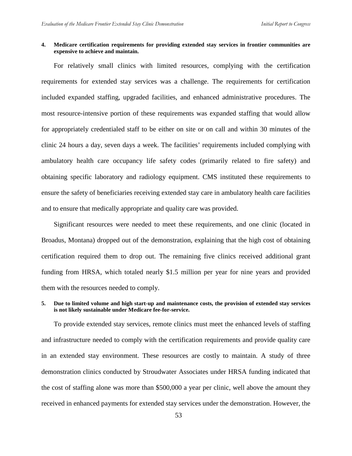#### **4. Medicare certification requirements for providing extended stay services in frontier communities are expensive to achieve and maintain.**

For relatively small clinics with limited resources, complying with the certification requirements for extended stay services was a challenge. The requirements for certification included expanded staffing, upgraded facilities, and enhanced administrative procedures. The most resource-intensive portion of these requirements was expanded staffing that would allow for appropriately credentialed staff to be either on site or on call and within 30 minutes of the clinic 24 hours a day, seven days a week. The facilities' requirements included complying with ambulatory health care occupancy life safety codes (primarily related to fire safety) and obtaining specific laboratory and radiology equipment. CMS instituted these requirements to ensure the safety of beneficiaries receiving extended stay care in ambulatory health care facilities and to ensure that medically appropriate and quality care was provided.

Significant resources were needed to meet these requirements, and one clinic (located in Broadus, Montana) dropped out of the demonstration, explaining that the high cost of obtaining certification required them to drop out. The remaining five clinics received additional grant funding from HRSA, which totaled nearly \$1.5 million per year for nine years and provided them with the resources needed to comply.

#### **5. Due to limited volume and high start-up and maintenance costs, the provision of extended stay services is not likely sustainable under Medicare fee-for-service.**

To provide extended stay services, remote clinics must meet the enhanced levels of staffing and infrastructure needed to comply with the certification requirements and provide quality care in an extended stay environment. These resources are costly to maintain. A study of three demonstration clinics conducted by Stroudwater Associates under HRSA funding indicated that the cost of staffing alone was more than \$500,000 a year per clinic, well above the amount they received in enhanced payments for extended stay services under the demonstration. However, the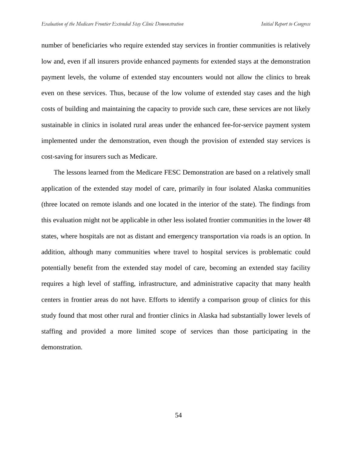number of beneficiaries who require extended stay services in frontier communities is relatively low and, even if all insurers provide enhanced payments for extended stays at the demonstration payment levels, the volume of extended stay encounters would not allow the clinics to break even on these services. Thus, because of the low volume of extended stay cases and the high costs of building and maintaining the capacity to provide such care, these services are not likely sustainable in clinics in isolated rural areas under the enhanced fee-for-service payment system implemented under the demonstration, even though the provision of extended stay services is cost-saving for insurers such as Medicare.

The lessons learned from the Medicare FESC Demonstration are based on a relatively small application of the extended stay model of care, primarily in four isolated Alaska communities (three located on remote islands and one located in the interior of the state). The findings from this evaluation might not be applicable in other less isolated frontier communities in the lower 48 states, where hospitals are not as distant and emergency transportation via roads is an option. In addition, although many communities where travel to hospital services is problematic could potentially benefit from the extended stay model of care, becoming an extended stay facility requires a high level of staffing, infrastructure, and administrative capacity that many health centers in frontier areas do not have. Efforts to identify a comparison group of clinics for this study found that most other rural and frontier clinics in Alaska had substantially lower levels of staffing and provided a more limited scope of services than those participating in the demonstration.